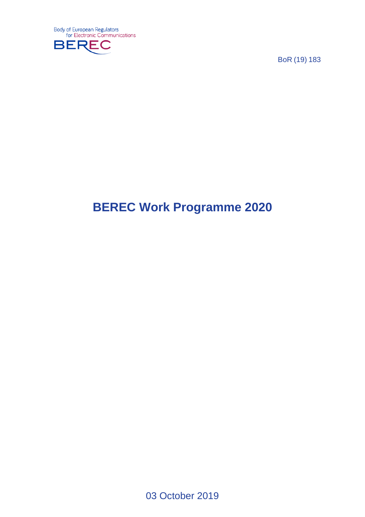

BoR (19) 183

# **BEREC Work Programme 2020**

03 October 2019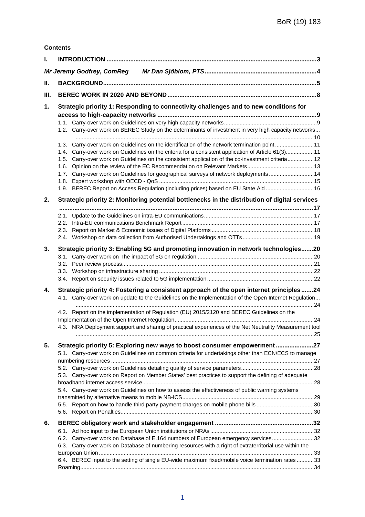| <b>Contents</b> |
|-----------------|
|-----------------|

|      | Mr Jeremy Godfrey, ComReg                                                                               |  |  |  |  |
|------|---------------------------------------------------------------------------------------------------------|--|--|--|--|
| Ш.   |                                                                                                         |  |  |  |  |
| III. |                                                                                                         |  |  |  |  |
| 1.   | Strategic priority 1: Responding to connectivity challenges and to new conditions for                   |  |  |  |  |
|      |                                                                                                         |  |  |  |  |
|      | 1.2. Carry-over work on BEREC Study on the determinants of investment in very high capacity networks    |  |  |  |  |
|      |                                                                                                         |  |  |  |  |
|      | 1.3. Carry-over work on Guidelines on the identification of the network termination point11             |  |  |  |  |
|      | 1.4. Carry-over work on Guidelines on the criteria for a consistent application of Article 61(3)11      |  |  |  |  |
|      | 1.5. Carry-over work on Guidelines on the consistent application of the co-investment criteria 12       |  |  |  |  |
|      | 1.6.<br>Carry-over work on Guidelines for geographical surveys of network deployments 14<br>1.7.        |  |  |  |  |
|      | 1.8.                                                                                                    |  |  |  |  |
|      | 1.9. BEREC Report on Access Regulation (including prices) based on EU State Aid  16                     |  |  |  |  |
| 2.   | Strategic priority 2: Monitoring potential bottlenecks in the distribution of digital services          |  |  |  |  |
|      |                                                                                                         |  |  |  |  |
|      |                                                                                                         |  |  |  |  |
|      |                                                                                                         |  |  |  |  |
|      | 2.3.                                                                                                    |  |  |  |  |
|      |                                                                                                         |  |  |  |  |
| 3.   | Strategic priority 3: Enabling 5G and promoting innovation in network technologies20                    |  |  |  |  |
|      |                                                                                                         |  |  |  |  |
|      |                                                                                                         |  |  |  |  |
|      |                                                                                                         |  |  |  |  |
| 4.   | Strategic priority 4: Fostering a consistent approach of the open internet principles24                 |  |  |  |  |
|      | 4.1. Carry-over work on update to the Guidelines on the Implementation of the Open Internet Regulation  |  |  |  |  |
|      |                                                                                                         |  |  |  |  |
|      | 4.2. Report on the implementation of Regulation (EU) 2015/2120 and BEREC Guidelines on the              |  |  |  |  |
|      |                                                                                                         |  |  |  |  |
|      | 4.3. NRA Deployment support and sharing of practical experiences of the Net Neutrality Measurement tool |  |  |  |  |
| 5.   | Strategic priority 5: Exploring new ways to boost consumer empowerment27                                |  |  |  |  |
|      | 5.1. Carry-over work on Guidelines on common criteria for undertakings other than ECN/ECS to manage     |  |  |  |  |
|      |                                                                                                         |  |  |  |  |
|      |                                                                                                         |  |  |  |  |
|      | Carry-over work on Report on Member States' best practices to support the defining of adequate<br>5.3.  |  |  |  |  |
|      |                                                                                                         |  |  |  |  |
|      | 5.4. Carry-over work on Guidelines on how to assess the effectiveness of public warning systems         |  |  |  |  |
|      | 5.5. Report on how to handle third party payment charges on mobile phone bills 30                       |  |  |  |  |
|      |                                                                                                         |  |  |  |  |
| 6.   |                                                                                                         |  |  |  |  |
|      | 6.1.                                                                                                    |  |  |  |  |
|      | Carry-over work on Database of E.164 numbers of European emergency services32<br>6.2.                   |  |  |  |  |
|      | 6.3. Carry-over work on Database of numbering resources with a right of extraterritorial use within the |  |  |  |  |
|      |                                                                                                         |  |  |  |  |
|      | 6.4. BEREC input to the setting of single EU-wide maximum fixed/mobile voice termination rates 33       |  |  |  |  |
|      |                                                                                                         |  |  |  |  |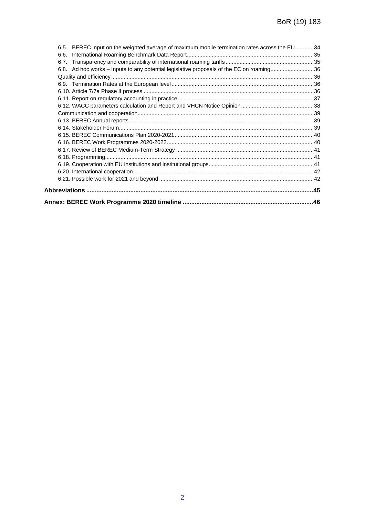| 6.5. BEREC input on the weighted average of maximum mobile termination rates across the EU34 |  |
|----------------------------------------------------------------------------------------------|--|
| 6.6.                                                                                         |  |
| 6.7.                                                                                         |  |
| 6.8. Ad hoc works – Inputs to any potential legislative proposals of the EC on roaming36     |  |
|                                                                                              |  |
|                                                                                              |  |
|                                                                                              |  |
|                                                                                              |  |
|                                                                                              |  |
|                                                                                              |  |
|                                                                                              |  |
|                                                                                              |  |
|                                                                                              |  |
|                                                                                              |  |
|                                                                                              |  |
|                                                                                              |  |
|                                                                                              |  |
|                                                                                              |  |
|                                                                                              |  |
|                                                                                              |  |
|                                                                                              |  |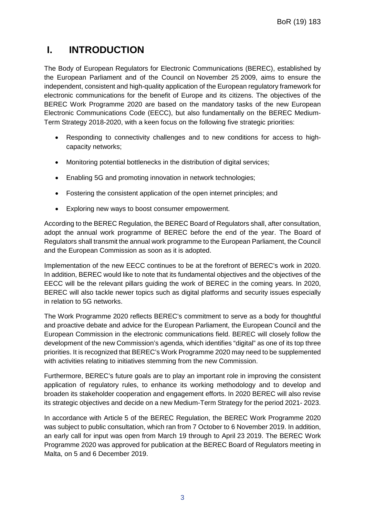## **I. INTRODUCTION**

The Body of European Regulators for Electronic Communications (BEREC), established by the European Parliament and of the Council on November 25 2009, aims to ensure the independent, consistent and high-quality application of the European regulatory framework for electronic communications for the benefit of Europe and its citizens. The objectives of the BEREC Work Programme 2020 are based on the mandatory tasks of the new European Electronic Communications Code (EECC), but also fundamentally on the BEREC Medium-Term Strategy 2018-2020, with a keen focus on the following five strategic priorities:

- Responding to connectivity challenges and to new conditions for access to highcapacity networks;
- Monitoring potential bottlenecks in the distribution of digital services;
- Enabling 5G and promoting innovation in network technologies;
- Fostering the consistent application of the open internet principles; and
- Exploring new ways to boost consumer empowerment.

According to the BEREC Regulation, the BEREC Board of Regulators shall, after consultation, adopt the annual work programme of BEREC before the end of the year. The Board of Regulators shall transmit the annual work programme to the European Parliament, the Council and the European Commission as soon as it is adopted.

Implementation of the new EECC continues to be at the forefront of BEREC's work in 2020. In addition, BEREC would like to note that its fundamental objectives and the objectives of the EECC will be the relevant pillars guiding the work of BEREC in the coming years. In 2020, BEREC will also tackle newer topics such as digital platforms and security issues especially in relation to 5G networks.

The Work Programme 2020 reflects BEREC's commitment to serve as a body for thoughtful and proactive debate and advice for the European Parliament, the European Council and the European Commission in the electronic communications field. BEREC will closely follow the development of the new Commission's agenda, which identifies "digital" as one of its top three priorities. It is recognized that BEREC's Work Programme 2020 may need to be supplemented with activities relating to initiatives stemming from the new Commission.

Furthermore, BEREC's future goals are to play an important role in improving the consistent application of regulatory rules, to enhance its working methodology and to develop and broaden its stakeholder cooperation and engagement efforts. In 2020 BEREC will also revise its strategic objectives and decide on a new Medium-Term Strategy for the period 2021- 2023.

In accordance with Article 5 of the BEREC Regulation, the BEREC Work Programme 2020 was subject to public consultation, which ran from 7 October to 6 November 2019. In addition, an early call for input was open from March 19 through to April 23 2019. The BEREC Work Programme 2020 was approved for publication at the BEREC Board of Regulators meeting in Malta, on 5 and 6 December 2019.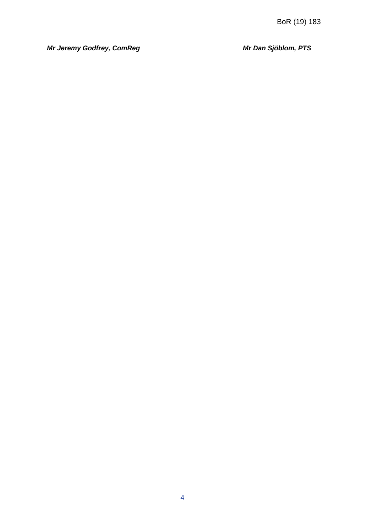*Mr Jeremy Godfrey, ComReg Mr Dan Sjöblom, PTS*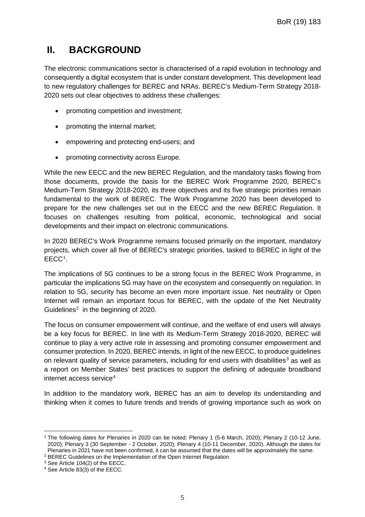## **II. BACKGROUND**

The electronic communications sector is characterised of a rapid evolution in technology and consequently a digital ecosystem that is under constant development. This development lead to new regulatory challenges for BEREC and NRAs. BEREC's Medium-Term Strategy 2018- 2020 sets out clear objectives to address these challenges:

- promoting competition and investment;
- promoting the internal market;
- empowering and protecting end-users; and
- promoting connectivity across Europe.

While the new EECC and the new BEREC Regulation, and the mandatory tasks flowing from those documents, provide the basis for the BEREC Work Programme 2020, BEREC's Medium-Term Strategy 2018-2020, its three objectives and its five strategic priorities remain fundamental to the work of BEREC. The Work Programme 2020 has been developed to prepare for the new challenges set out in the EECC and the new BEREC Regulation. It focuses on challenges resulting from political, economic, technological and social developments and their impact on electronic communications.

In 2020 BEREC's Work Programme remains focused primarily on the important, mandatory projects, which cover all five of BEREC's strategic priorities, tasked to BEREC in light of the EECC<sup>[1](#page-5-0)</sup>.

The implications of 5G continues to be a strong focus in the BEREC Work Programme, in particular the implications 5G may have on the ecosystem and consequently on regulation. In relation to 5G, security has become an even more important issue. Net neutrality or Open Internet will remain an important focus for BEREC, with the update of the Net Neutrality Guidelines<sup>[2](#page-5-1)</sup> in the beginning of 2020.

The focus on consumer empowerment will continue, and the welfare of end users will always be a key focus for BEREC. In line with its Medium-Term Strategy 2018-2020, BEREC will continue to play a very active role in assessing and promoting consumer empowerment and consumer protection. In 2020, BEREC intends, in light of the new EECC, to produce guidelines on relevant quality of service parameters, including for end users with disabilities<sup>[3](#page-5-2)</sup> as well as a report on Member States' best practices to support the defining of adequate broadband internet access service<sup>[4](#page-5-3)</sup>

In addition to the mandatory work, BEREC has an aim to develop its understanding and thinking when it comes to future trends and trends of growing importance such as work on

 $\overline{a}$ 

<span id="page-5-0"></span><sup>1</sup> The following dates for Plenaries in 2020 can be noted: Plenary 1 (5-6 March, 2020); Plenary 2 (10-12 June, 2020); Plenary 3 (30 September - 2 October, 2020); Plenary 4 (10-11 December, 2020). Although the dates for Plenaries in 2021 have not been confirmed, it can be assumed that the dates will be approximately the same.

<span id="page-5-1"></span><sup>2</sup> BEREC Guidelines on the Implementation of the Open Internet Regulation

<span id="page-5-2"></span><sup>3</sup> See Article 104(2) of the EECC.

<span id="page-5-3"></span><sup>4</sup> See Article 83(3) of the EECC.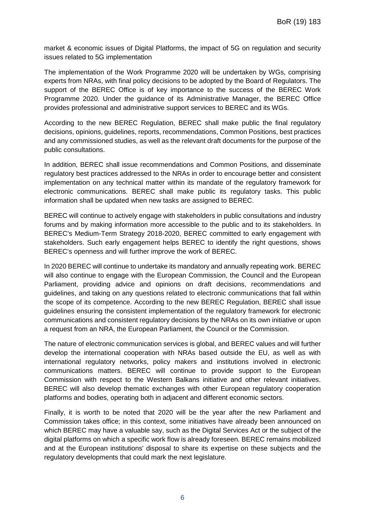market & economic issues of Digital Platforms, the impact of 5G on regulation and security issues related to 5G implementation

The implementation of the Work Programme 2020 will be undertaken by WGs, comprising experts from NRAs, with final policy decisions to be adopted by the Board of Regulators. The support of the BEREC Office is of key importance to the success of the BEREC Work Programme 2020. Under the guidance of its Administrative Manager, the BEREC Office provides professional and administrative support services to BEREC and its WGs.

According to the new BEREC Regulation, BEREC shall make public the final regulatory decisions, opinions, guidelines, reports, recommendations, Common Positions, best practices and any commissioned studies, as well as the relevant draft documents for the purpose of the public consultations.

In addition, BEREC shall issue recommendations and Common Positions, and disseminate regulatory best practices addressed to the NRAs in order to encourage better and consistent implementation on any technical matter within its mandate of the regulatory framework for electronic communications. BEREC shall make public its regulatory tasks. This public information shall be updated when new tasks are assigned to BEREC.

BEREC will continue to actively engage with stakeholders in public consultations and industry forums and by making information more accessible to the public and to its stakeholders. In BEREC's Medium-Term Strategy 2018-2020, BEREC committed to early engagement with stakeholders. Such early engagement helps BEREC to identify the right questions, shows BEREC's openness and will further improve the work of BEREC.

In 2020 BEREC will continue to undertake its mandatory and annually repeating work. BEREC will also continue to engage with the European Commission, the Council and the European Parliament, providing advice and opinions on draft decisions, recommendations and guidelines, and taking on any questions related to electronic communications that fall within the scope of its competence. According to the new BEREC Regulation, BEREC shall issue guidelines ensuring the consistent implementation of the regulatory framework for electronic communications and consistent regulatory decisions by the NRAs on its own initiative or upon a request from an NRA, the European Parliament, the Council or the Commission.

The nature of electronic communication services is global, and BEREC values and will further develop the international cooperation with NRAs based outside the EU, as well as with international regulatory networks, policy makers and institutions involved in electronic communications matters. BEREC will continue to provide support to the European Commission with respect to the Western Balkans initiative and other relevant initiatives. BEREC will also develop thematic exchanges with other European regulatory cooperation platforms and bodies, operating both in adjacent and different economic sectors.

Finally, it is worth to be noted that 2020 will be the year after the new Parliament and Commission takes office; in this context, some initiatives have already been announced on which BEREC may have a valuable say, such as the Digital Services Act or the subject of the digital platforms on which a specific work flow is already foreseen. BEREC remains mobilized and at the European institutions' disposal to share its expertise on these subjects and the regulatory developments that could mark the next legislature.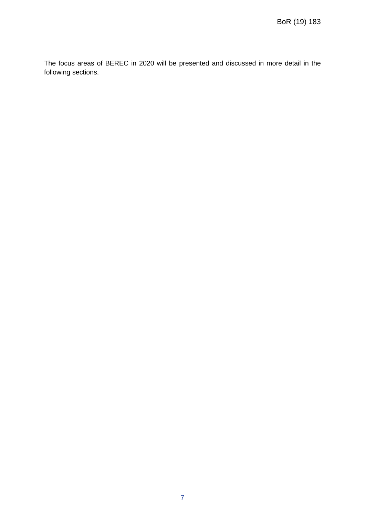The focus areas of BEREC in 2020 will be presented and discussed in more detail in the following sections.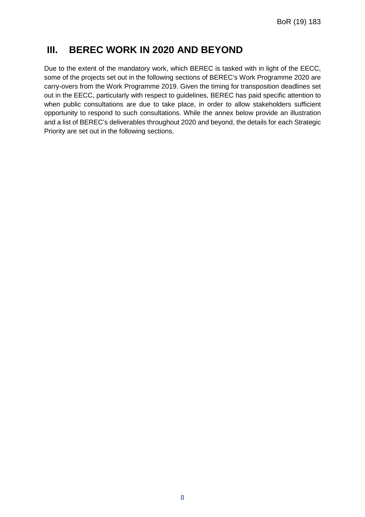## **III. BEREC WORK IN 2020 AND BEYOND**

Due to the extent of the mandatory work, which BEREC is tasked with in light of the EECC, some of the projects set out in the following sections of BEREC's Work Programme 2020 are carry-overs from the Work Programme 2019. Given the timing for transposition deadlines set out in the EECC, particularly with respect to guidelines, BEREC has paid specific attention to when public consultations are due to take place, in order to allow stakeholders sufficient opportunity to respond to such consultations. While the annex below provide an illustration and a list of BEREC's deliverables throughout 2020 and beyond, the details for each Strategic Priority are set out in the following sections.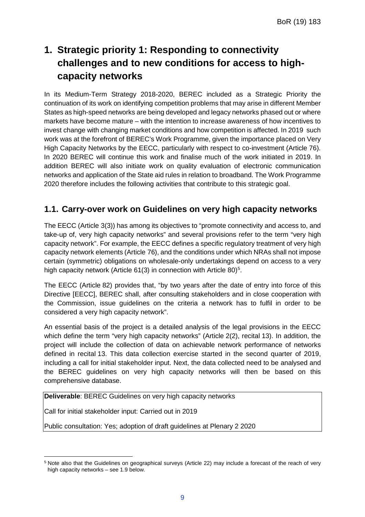## **1. Strategic priority 1: Responding to connectivity challenges and to new conditions for access to highcapacity networks**

In its Medium-Term Strategy 2018-2020, BEREC included as a Strategic Priority the continuation of its work on identifying competition problems that may arise in different Member States as high-speed networks are being developed and legacy networks phased out or where markets have become mature – with the intention to increase awareness of how incentives to invest change with changing market conditions and how competition is affected. In 2019 such work was at the forefront of BEREC's Work Programme, given the importance placed on Very High Capacity Networks by the EECC, particularly with respect to co-investment (Article 76). In 2020 BEREC will continue this work and finalise much of the work initiated in 2019. In addition BEREC will also initiate work on quality evaluation of electronic communication networks and application of the State aid rules in relation to broadband. The Work Programme 2020 therefore includes the following activities that contribute to this strategic goal.

#### **1.1. Carry-over work on Guidelines on very high capacity networks**

The EECC (Article 3(3)) has among its objectives to "promote connectivity and access to, and take-up of, very high capacity networks" and several provisions refer to the term "very high capacity network". For example, the EECC defines a specific regulatory treatment of very high capacity network elements (Article 76), and the conditions under which NRAs shall not impose certain (symmetric) obligations on wholesale-only undertakings depend on access to a very high capacity network (Article 61(3) in connection with Article 80)<sup>5</sup>.

The EECC (Article 82) provides that, "by two years after the date of entry into force of this Directive [EECC], BEREC shall, after consulting stakeholders and in close cooperation with the Commission, issue guidelines on the criteria a network has to fulfil in order to be considered a very high capacity network".

An essential basis of the project is a detailed analysis of the legal provisions in the EECC which define the term "very high capacity networks" (Article 2(2), recital 13). In addition, the project will include the collection of data on achievable network performance of networks defined in recital 13. This data collection exercise started in the second quarter of 2019, including a call for initial stakeholder input. Next, the data collected need to be analysed and the BEREC guidelines on very high capacity networks will then be based on this comprehensive database.

**Deliverable**: BEREC Guidelines on very high capacity networks

Call for initial stakeholder input: Carried out in 2019

Public consultation: Yes; adoption of draft guidelines at Plenary 2 2020

<span id="page-9-0"></span> $\overline{a}$ <sup>5</sup> Note also that the Guidelines on geographical surveys (Article 22) may include a forecast of the reach of very high capacity networks – see 1.9 below.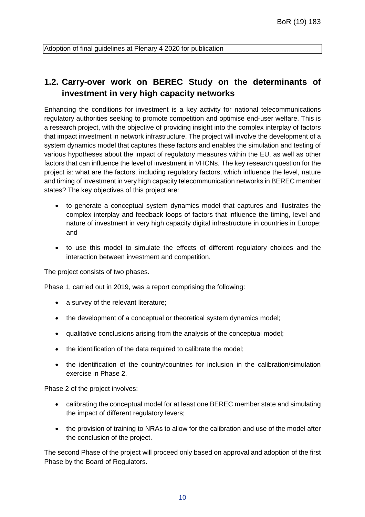Adoption of final guidelines at Plenary 4 2020 for publication

### **1.2. Carry-over work on BEREC Study on the determinants of investment in very high capacity networks**

Enhancing the conditions for investment is a key activity for national telecommunications regulatory authorities seeking to promote competition and optimise end-user welfare. This is a research project, with the objective of providing insight into the complex interplay of factors that impact investment in network infrastructure. The project will involve the development of a system dynamics model that captures these factors and enables the simulation and testing of various hypotheses about the impact of regulatory measures within the EU, as well as other factors that can influence the level of investment in VHCNs. The key research question for the project is: what are the factors, including regulatory factors, which influence the level, nature and timing of investment in very high capacity telecommunication networks in BEREC member states? The key objectives of this project are:

- to generate a conceptual system dynamics model that captures and illustrates the complex interplay and feedback loops of factors that influence the timing, level and nature of investment in very high capacity digital infrastructure in countries in Europe; and
- to use this model to simulate the effects of different regulatory choices and the interaction between investment and competition.

The project consists of two phases.

Phase 1, carried out in 2019, was a report comprising the following:

- a survey of the relevant literature;
- the development of a conceptual or theoretical system dynamics model;
- qualitative conclusions arising from the analysis of the conceptual model;
- the identification of the data required to calibrate the model;
- the identification of the country/countries for inclusion in the calibration/simulation exercise in Phase 2.

Phase 2 of the project involves:

- calibrating the conceptual model for at least one BEREC member state and simulating the impact of different regulatory levers;
- the provision of training to NRAs to allow for the calibration and use of the model after the conclusion of the project.

The second Phase of the project will proceed only based on approval and adoption of the first Phase by the Board of Regulators.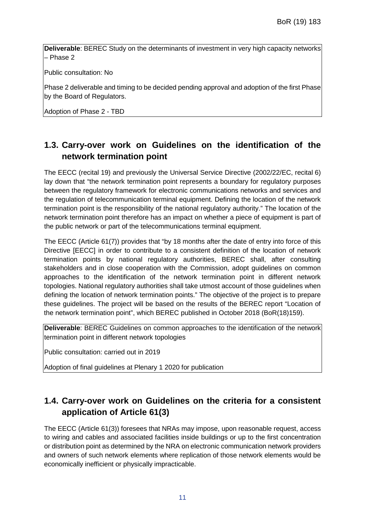**Deliverable**: BEREC Study on the determinants of investment in very high capacity networks – Phase 2

Public consultation: No

Phase 2 deliverable and timing to be decided pending approval and adoption of the first Phase by the Board of Regulators.

Adoption of Phase 2 - TBD

### **1.3. Carry-over work on Guidelines on the identification of the network termination point**

The EECC (recital 19) and previously the Universal Service Directive (2002/22/EC, recital 6) lay down that "the network termination point represents a boundary for regulatory purposes between the regulatory framework for electronic communications networks and services and the regulation of telecommunication terminal equipment. Defining the location of the network termination point is the responsibility of the national regulatory authority." The location of the network termination point therefore has an impact on whether a piece of equipment is part of the public network or part of the telecommunications terminal equipment.

The EECC (Article 61(7)) provides that "by 18 months after the date of entry into force of this Directive [EECC] in order to contribute to a consistent definition of the location of network termination points by national regulatory authorities, BEREC shall, after consulting stakeholders and in close cooperation with the Commission, adopt guidelines on common approaches to the identification of the network termination point in different network topologies. National regulatory authorities shall take utmost account of those guidelines when defining the location of network termination points." The objective of the project is to prepare these guidelines. The project will be based on the results of the BEREC report "Location of the network termination point", which BEREC published in October 2018 (BoR(18)159).

**Deliverable**: BEREC Guidelines on common approaches to the identification of the network termination point in different network topologies

Public consultation: carried out in 2019

Adoption of final guidelines at Plenary 1 2020 for publication

### **1.4. Carry-over work on Guidelines on the criteria for a consistent application of Article 61(3)**

The EECC (Article 61(3)) foresees that NRAs may impose, upon reasonable request, access to wiring and cables and associated facilities inside buildings or up to the first concentration or distribution point as determined by the NRA on electronic communication network providers and owners of such network elements where replication of those network elements would be economically inefficient or physically impracticable.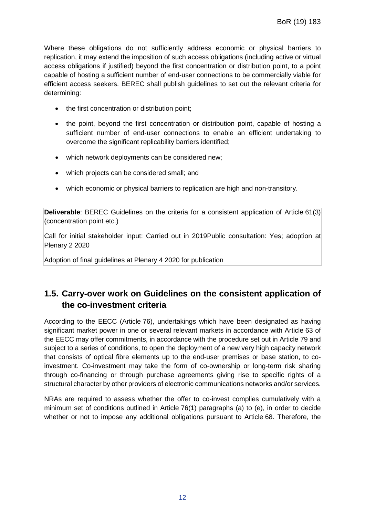Where these obligations do not sufficiently address economic or physical barriers to replication, it may extend the imposition of such access obligations (including active or virtual access obligations if justified) beyond the first concentration or distribution point, to a point capable of hosting a sufficient number of end-user connections to be commercially viable for efficient access seekers. BEREC shall publish guidelines to set out the relevant criteria for determining:

- the first concentration or distribution point;
- the point, beyond the first concentration or distribution point, capable of hosting a sufficient number of end-user connections to enable an efficient undertaking to overcome the significant replicability barriers identified;
- which network deployments can be considered new;
- which projects can be considered small; and
- which economic or physical barriers to replication are high and non-transitory.

**Deliverable**: BEREC Guidelines on the criteria for a consistent application of Article 61(3) (concentration point etc.)

Call for initial stakeholder input: Carried out in 2019Public consultation: Yes; adoption at Plenary 2 2020

Adoption of final guidelines at Plenary 4 2020 for publication

### **1.5. Carry-over work on Guidelines on the consistent application of the co-investment criteria**

According to the EECC (Article 76), undertakings which have been designated as having significant market power in one or several relevant markets in accordance with Article 63 of the EECC may offer commitments, in accordance with the procedure set out in Article 79 and subject to a series of conditions, to open the deployment of a new very high capacity network that consists of optical fibre elements up to the end-user premises or base station, to coinvestment. Co-investment may take the form of co-ownership or long-term risk sharing through co-financing or through purchase agreements giving rise to specific rights of a structural character by other providers of electronic communications networks and/or services.

NRAs are required to assess whether the offer to co-invest complies cumulatively with a minimum set of conditions outlined in Article 76(1) paragraphs (a) to (e), in order to decide whether or not to impose any additional obligations pursuant to Article 68. Therefore, the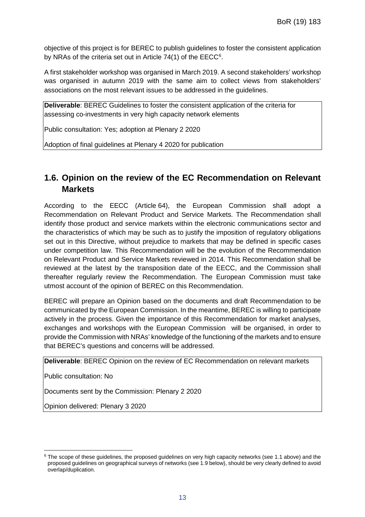objective of this project is for BEREC to publish guidelines to foster the consistent application by NRAs of the criteria set out in Article 74(1) of the  $\mathsf{EECC}^6$  $\mathsf{EECC}^6$ .

A first stakeholder workshop was organised in March 2019. A second stakeholders' workshop was organised in autumn 2019 with the same aim to collect views from stakeholders' associations on the most relevant issues to be addressed in the guidelines.

**Deliverable**: BEREC Guidelines to foster the consistent application of the criteria for assessing co-investments in very high capacity network elements

Public consultation: Yes; adoption at Plenary 2 2020

Adoption of final guidelines at Plenary 4 2020 for publication

### **1.6. Opinion on the review of the EC Recommendation on Relevant Markets**

According to the EECC (Article 64), the European Commission shall adopt a Recommendation on Relevant Product and Service Markets. The Recommendation shall identify those product and service markets within the electronic communications sector and the characteristics of which may be such as to justify the imposition of regulatory obligations set out in this Directive, without prejudice to markets that may be defined in specific cases under competition law. This Recommendation will be the evolution of the Recommendation on Relevant Product and Service Markets reviewed in 2014. This Recommendation shall be reviewed at the latest by the transposition date of the EECC, and the Commission shall thereafter regularly review the Recommendation. The European Commission must take utmost account of the opinion of BEREC on this Recommendation.

BEREC will prepare an Opinion based on the documents and draft Recommendation to be communicated by the European Commission. In the meantime, BEREC is willing to participate actively in the process. Given the importance of this Recommendation for market analyses, exchanges and workshops with the European Commission will be organised, in order to provide the Commission with NRAs' knowledge of the functioning of the markets and to ensure that BEREC's questions and concerns will be addressed.

**Deliverable**: BEREC Opinion on the review of EC Recommendation on relevant markets

Public consultation: No

l

Documents sent by the Commission: Plenary 2 2020

Opinion delivered: Plenary 3 2020

<span id="page-13-0"></span><sup>&</sup>lt;sup>6</sup> The scope of these guidelines, the proposed guidelines on very high capacity networks (see 1.1 above) and the proposed guidelines on geographical surveys of networks (see 1.9 below), should be very clearly defined to avoid overlap/duplication.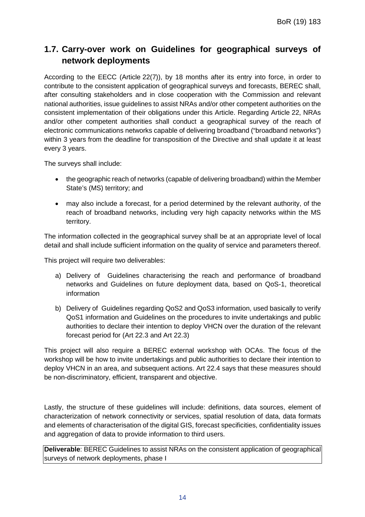### **1.7. Carry-over work on Guidelines for geographical surveys of network deployments**

According to the EECC (Article 22(7)), by 18 months after its entry into force, in order to contribute to the consistent application of geographical surveys and forecasts, BEREC shall, after consulting stakeholders and in close cooperation with the Commission and relevant national authorities, issue guidelines to assist NRAs and/or other competent authorities on the consistent implementation of their obligations under this Article. Regarding Article 22, NRAs and/or other competent authorities shall conduct a geographical survey of the reach of electronic communications networks capable of delivering broadband ("broadband networks") within 3 years from the deadline for transposition of the Directive and shall update it at least every 3 years.

The surveys shall include:

- the geographic reach of networks (capable of delivering broadband) within the Member State's (MS) territory; and
- may also include a forecast, for a period determined by the relevant authority, of the reach of broadband networks, including very high capacity networks within the MS territory.

The information collected in the geographical survey shall be at an appropriate level of local detail and shall include sufficient information on the quality of service and parameters thereof.

This project will require two deliverables:

- a) Delivery of Guidelines characterising the reach and performance of broadband networks and Guidelines on future deployment data, based on QoS-1, theoretical information
- b) Delivery of Guidelines regarding QoS2 and QoS3 information, used basically to verify QoS1 information and Guidelines on the procedures to invite undertakings and public authorities to declare their intention to deploy VHCN over the duration of the relevant forecast period for (Art 22.3 and Art 22.3)

This project will also require a BEREC external workshop with OCAs. The focus of the workshop will be how to invite undertakings and public authorities to declare their intention to deploy VHCN in an area, and subsequent actions. Art 22.4 says that these measures should be non-discriminatory, efficient, transparent and objective.

Lastly, the structure of these guidelines will include: definitions, data sources, element of characterization of network connectivity or services, spatial resolution of data, data formats and elements of characterisation of the digital GIS, forecast specificities, confidentiality issues and aggregation of data to provide information to third users.

**Deliverable**: BEREC Guidelines to assist NRAs on the consistent application of geographical surveys of network deployments, phase I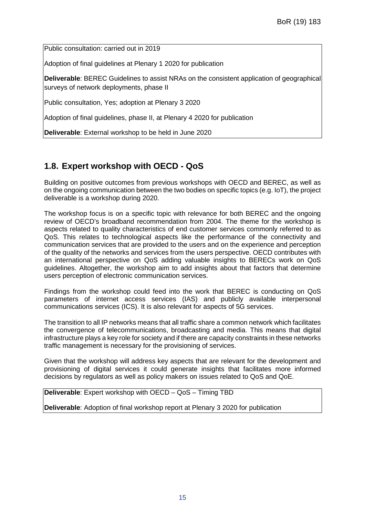Public consultation: carried out in 2019

Adoption of final guidelines at Plenary 1 2020 for publication

**Deliverable**: BEREC Guidelines to assist NRAs on the consistent application of geographical surveys of network deployments, phase II

Public consultation, Yes; adoption at Plenary 3 2020

Adoption of final guidelines, phase II, at Plenary 4 2020 for publication

**Deliverable**: External workshop to be held in June 2020

#### **1.8. Expert workshop with OECD - QoS**

Building on positive outcomes from previous workshops with OECD and BEREC, as well as on the ongoing communication between the two bodies on specific topics (e.g. IoT), the project deliverable is a workshop during 2020.

The workshop focus is on a specific topic with relevance for both BEREC and the ongoing review of OECD's broadband recommendation from 2004. The theme for the workshop is aspects related to quality characteristics of end customer services commonly referred to as QoS. This relates to technological aspects like the performance of the connectivity and communication services that are provided to the users and on the experience and perception of the quality of the networks and services from the users perspective. OECD contributes with an international perspective on QoS adding valuable insights to BERECs work on QoS guidelines. Altogether, the workshop aim to add insights about that factors that determine users perception of electronic communication services.

Findings from the workshop could feed into the work that BEREC is conducting on QoS parameters of internet access services (IAS) and publicly available interpersonal communications services (ICS). It is also relevant for aspects of 5G services.

The transition to all IP networks means that all traffic share a common network which facilitates the convergence of telecommunications, broadcasting and media. This means that digital infrastructure plays a key role for society and if there are capacity constraints in these networks traffic management is necessary for the provisioning of services.

Given that the workshop will address key aspects that are relevant for the development and provisioning of digital services it could generate insights that facilitates more informed decisions by regulators as well as policy makers on issues related to QoS and QoE.

**Deliverable**: Expert workshop with OECD – QoS – Timing TBD

**Deliverable**: Adoption of final workshop report at Plenary 3 2020 for publication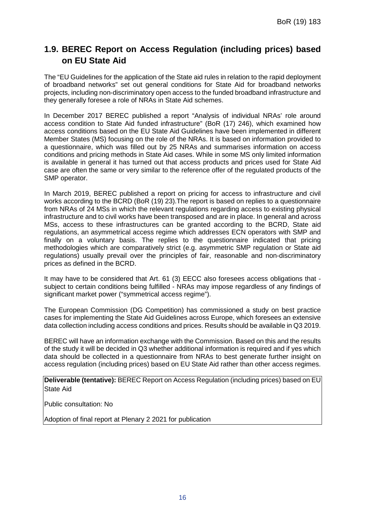### **1.9. BEREC Report on Access Regulation (including prices) based on EU State Aid**

The "EU Guidelines for the application of the State aid rules in relation to the rapid deployment of broadband networks" set out general conditions for State Aid for broadband networks projects, including non-discriminatory open access to the funded broadband infrastructure and they generally foresee a role of NRAs in State Aid schemes.

In December 2017 BEREC published a report "Analysis of individual NRAs' role around access condition to State Aid funded infrastructure" (BoR (17) 246), which examined how access conditions based on the EU State Aid Guidelines have been implemented in different Member States (MS) focusing on the role of the NRAs. It is based on information provided to a questionnaire, which was filled out by 25 NRAs and summarises information on access conditions and pricing methods in State Aid cases. While in some MS only limited information is available in general it has turned out that access products and prices used for State Aid case are often the same or very similar to the reference offer of the regulated products of the SMP operator.

In March 2019, BEREC published a report on pricing for access to infrastructure and civil works according to the BCRD (BoR (19) 23).The report is based on replies to a questionnaire from NRAs of 24 MSs in which the relevant regulations regarding access to existing physical infrastructure and to civil works have been transposed and are in place. In general and across MSs, access to these infrastructures can be granted according to the BCRD, State aid regulations, an asymmetrical access regime which addresses ECN operators with SMP and finally on a voluntary basis. The replies to the questionnaire indicated that pricing methodologies which are comparatively strict (e.g. asymmetric SMP regulation or State aid regulations) usually prevail over the principles of fair, reasonable and non-discriminatory prices as defined in the BCRD.

It may have to be considered that Art. 61 (3) EECC also foresees access obligations that subject to certain conditions being fulfilled - NRAs may impose regardless of any findings of significant market power ("symmetrical access regime").

The European Commission (DG Competition) has commissioned a study on best practice cases for implementing the State Aid Guidelines across Europe, which foresees an extensive data collection including access conditions and prices. Results should be available in Q3 2019.

BEREC will have an information exchange with the Commission. Based on this and the results of the study it will be decided in Q3 whether additional information is required and if yes which data should be collected in a questionnaire from NRAs to best generate further insight on access regulation (including prices) based on EU State Aid rather than other access regimes.

**Deliverable (tentative):** BEREC Report on Access Regulation (including prices) based on EU State Aid

Public consultation: No

Adoption of final report at Plenary 2 2021 for publication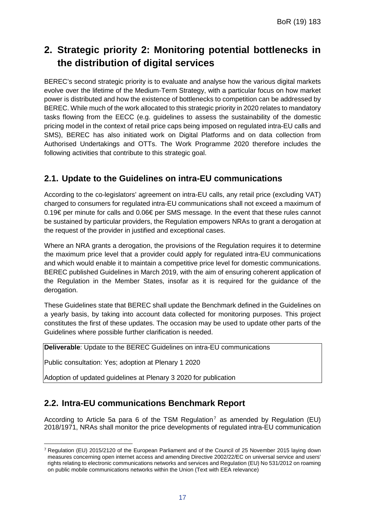## **2. Strategic priority 2: Monitoring potential bottlenecks in the distribution of digital services**

BEREC's second strategic priority is to evaluate and analyse how the various digital markets evolve over the lifetime of the Medium-Term Strategy, with a particular focus on how market power is distributed and how the existence of bottlenecks to competition can be addressed by BEREC. While much of the work allocated to this strategic priority in 2020 relates to mandatory tasks flowing from the EECC (e.g. guidelines to assess the sustainability of the domestic pricing model in the context of retail price caps being imposed on regulated intra-EU calls and SMS), BEREC has also initiated work on Digital Platforms and on data collection from Authorised Undertakings and OTTs. The Work Programme 2020 therefore includes the following activities that contribute to this strategic goal.

#### **2.1. Update to the Guidelines on intra-EU communications**

According to the co-legislators' agreement on intra-EU calls, any retail price (excluding VAT) charged to consumers for regulated intra-EU communications shall not exceed a maximum of 0.19€ per minute for calls and 0.06€ per SMS message. In the event that these rules cannot be sustained by particular providers, the Regulation empowers NRAs to grant a derogation at the request of the provider in justified and exceptional cases.

Where an NRA grants a derogation, the provisions of the Regulation requires it to determine the maximum price level that a provider could apply for regulated intra-EU communications and which would enable it to maintain a competitive price level for domestic communications. BEREC published Guidelines in March 2019, with the aim of ensuring coherent application of the Regulation in the Member States, insofar as it is required for the guidance of the derogation.

These Guidelines state that BEREC shall update the Benchmark defined in the Guidelines on a yearly basis, by taking into account data collected for monitoring purposes. This project constitutes the first of these updates. The occasion may be used to update other parts of the Guidelines where possible further clarification is needed.

**Deliverable**: Update to the BEREC Guidelines on intra-EU communications

Public consultation: Yes; adoption at Plenary 1 2020

Adoption of updated guidelines at Plenary 3 2020 for publication

#### **2.2. Intra-EU communications Benchmark Report**

According to Article 5a para 6 of the TSM Regulation<sup>[7](#page-17-0)</sup> as amended by Regulation (EU) 2018/1971, NRAs shall monitor the price developments of regulated intra-EU communication

<span id="page-17-0"></span> $\overline{a}$ <sup>7</sup> Regulation (EU) 2015/2120 of the European Parliament and of the Council of 25 November 2015 laying down measures concerning open internet access and amending Directive 2002/22/EC on universal service and users' rights relating to electronic communications networks and services and Regulation (EU) No 531/2012 on roaming on public mobile communications networks within the Union (Text with EEA relevance)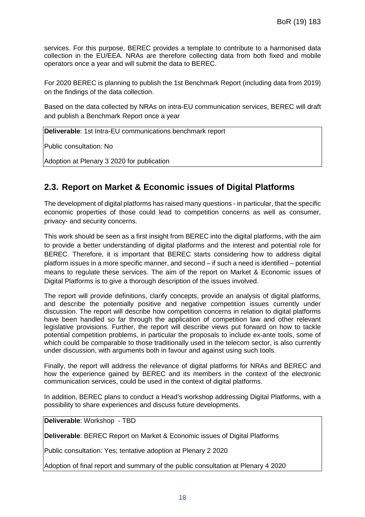services. For this purpose, BEREC provides a template to contribute to a harmonised data collection in the EU/EEA. NRAs are therefore collecting data from both fixed and mobile operators once a year and will submit the data to BEREC.

For 2020 BEREC is planning to publish the 1st Benchmark Report (including data from 2019) on the findings of the data collection.

Based on the data collected by NRAs on intra-EU communication services, BEREC will draft and publish a Benchmark Report once a year

**Deliverable**: 1st Intra-EU communications benchmark report

Public consultation: No

Adoption at Plenary 3 2020 for publication

#### **2.3. Report on Market & Economic issues of Digital Platforms**

The development of digital platforms has raised many questions - in particular, that the specific economic properties of those could lead to competition concerns as well as consumer, privacy- and security concerns.

This work should be seen as a first insight from BEREC into the digital platforms, with the aim to provide a better understanding of digital platforms and the interest and potential role for BEREC. Therefore, it is important that BEREC starts considering how to address digital platform issues in a more specific manner, and second – if such a need is identified – potential means to regulate these services. The aim of the report on Market & Economic issues of Digital Platforms is to give a thorough description of the issues involved.

The report will provide definitions, clarify concepts, provide an analysis of digital platforms, and describe the potentially positive and negative competition issues currently under discussion. The report will describe how competition concerns in relation to digital platforms have been handled so far through the application of competition law and other relevant legislative provisions. Further, the report will describe views put forward on how to tackle potential competition problems, in particular the proposals to include ex-ante tools, some of which could be comparable to those traditionally used in the telecom sector, is also currently under discussion, with arguments both in favour and against using such tools.

Finally, the report will address the relevance of digital platforms for NRAs and BEREC and how the experience gained by BEREC and its members in the context of the electronic communication services, could be used in the context of digital platforms.

In addition, BEREC plans to conduct a Head's workshop addressing Digital Platforms, with a possibility to share experiences and discuss future developments.

**Deliverable**: Workshop - TBD

**Deliverable**: BEREC Report on Market & Economic issues of Digital Platforms

Public consultation: Yes; tentative adoption at Plenary 2 2020

Adoption of final report and summary of the public consultation at Plenary 4 2020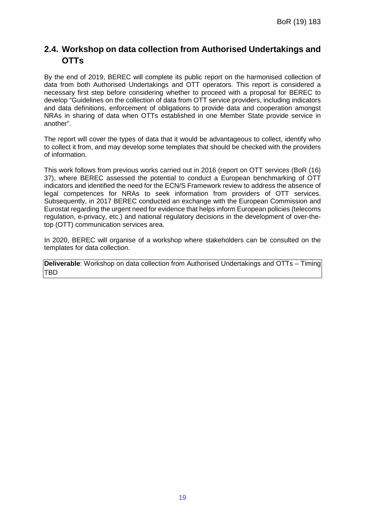### **2.4. Workshop on data collection from Authorised Undertakings and OTTs**

By the end of 2019, BEREC will complete its public report on the harmonised collection of data from both Authorised Undertakings and OTT operators. This report is considered a necessary first step before considering whether to proceed with a proposal for BEREC to develop "Guidelines on the collection of data from OTT service providers, including indicators and data definitions, enforcement of obligations to provide data and cooperation amongst NRAs in sharing of data when OTTs established in one Member State provide service in another".

The report will cover the types of data that it would be advantageous to collect, identify who to collect it from, and may develop some templates that should be checked with the providers of information.

This work follows from previous works carried out in 2016 (report on OTT services (BoR (16) 37), where BEREC assessed the potential to conduct a European benchmarking of OTT indicators and identified the need for the ECN/S Framework review to address the absence of legal competences for NRAs to seek information from providers of OTT services. Subsequently, in 2017 BEREC conducted an exchange with the European Commission and Eurostat regarding the urgent need for evidence that helps inform European policies (telecoms regulation, e-privacy, etc.) and national regulatory decisions in the development of over-thetop (OTT) communication services area.

In 2020, BEREC will organise of a workshop where stakeholders can be consulted on the templates for data collection.

**Deliverable**: Workshop on data collection from Authorised Undertakings and OTTs – Timing TBD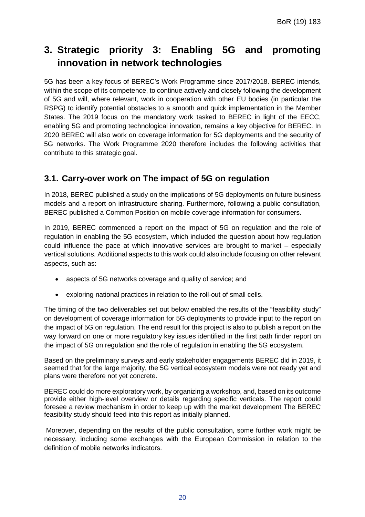## **3. Strategic priority 3: Enabling 5G and promoting innovation in network technologies**

5G has been a key focus of BEREC's Work Programme since 2017/2018. BEREC intends, within the scope of its competence, to continue actively and closely following the development of 5G and will, where relevant, work in cooperation with other EU bodies (in particular the RSPG) to identify potential obstacles to a smooth and quick implementation in the Member States. The 2019 focus on the mandatory work tasked to BEREC in light of the EECC, enabling 5G and promoting technological innovation, remains a key objective for BEREC. In 2020 BEREC will also work on coverage information for 5G deployments and the security of 5G networks. The Work Programme 2020 therefore includes the following activities that contribute to this strategic goal.

#### **3.1. Carry-over work on The impact of 5G on regulation**

In 2018, BEREC published a study on the implications of 5G deployments on future business models and a report on infrastructure sharing. Furthermore, following a public consultation, BEREC published a Common Position on mobile coverage information for consumers.

In 2019, BEREC commenced a report on the impact of 5G on regulation and the role of regulation in enabling the 5G ecosystem, which included the question about how regulation could influence the pace at which innovative services are brought to market – especially vertical solutions. Additional aspects to this work could also include focusing on other relevant aspects, such as:

- aspects of 5G networks coverage and quality of service; and
- exploring national practices in relation to the roll-out of small cells.

The timing of the two deliverables set out below enabled the results of the "feasibility study" on development of coverage information for 5G deployments to provide input to the report on the impact of 5G on regulation. The end result for this project is also to publish a report on the way forward on one or more regulatory key issues identified in the first path finder report on the impact of 5G on regulation and the role of regulation in enabling the 5G ecosystem.

Based on the preliminary surveys and early stakeholder engagements BEREC did in 2019, it seemed that for the large majority, the 5G vertical ecosystem models were not ready yet and plans were therefore not yet concrete.

BEREC could do more exploratory work, by organizing a workshop, and, based on its outcome provide either high-level overview or details regarding specific verticals. The report could foresee a review mechanism in order to keep up with the market development The BEREC feasibility study should feed into this report as initially planned.

Moreover, depending on the results of the public consultation, some further work might be necessary, including some exchanges with the European Commission in relation to the definition of mobile networks indicators.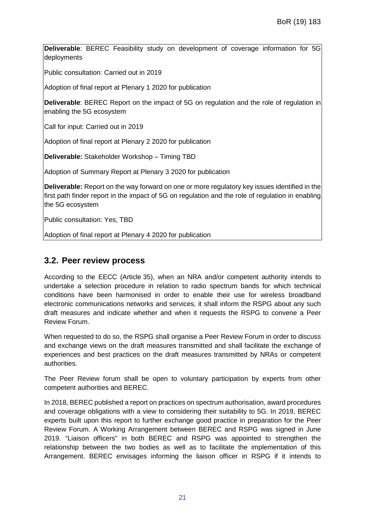**Deliverable**: BEREC Feasibility study on development of coverage information for 5G deployments

Public consultation: Carried out in 2019

Adoption of final report at Plenary 1 2020 for publication

**Deliverable**: BEREC Report on the impact of 5G on regulation and the role of regulation in enabling the 5G ecosystem

Call for input: Carried out in 2019

Adoption of final report at Plenary 2 2020 for publication

**Deliverable:** Stakeholder Workshop – Timing TBD

Adoption of Summary Report at Plenary 3 2020 for publication

**Deliverable:** Report on the way forward on one or more regulatory key issues identified in the first path finder report in the impact of 5G on regulation and the role of regulation in enabling the 5G ecosystem

Public consultation: Yes, TBD

Adoption of final report at Plenary 4 2020 for publication

#### **3.2. Peer review process**

According to the EECC (Article 35), when an NRA and/or competent authority intends to undertake a selection procedure in relation to radio spectrum bands for which technical conditions have been harmonised in order to enable their use for wireless broadband electronic communications networks and services, it shall inform the RSPG about any such draft measures and indicate whether and when it requests the RSPG to convene a Peer Review Forum.

When requested to do so, the RSPG shall organise a Peer Review Forum in order to discuss and exchange views on the draft measures transmitted and shall facilitate the exchange of experiences and best practices on the draft measures transmitted by NRAs or competent authorities.

The Peer Review forum shall be open to voluntary participation by experts from other competent authorities and BEREC.

In 2018, BEREC published a report on practices on spectrum authorisation, award procedures and coverage obligations with a view to considering their suitability to 5G. In 2019, BEREC experts built upon this report to further exchange good practice in preparation for the Peer Review Forum. A Working Arrangement between BEREC and RSPG was signed in June 2019. "Liaison officers" in both BEREC and RSPG was appointed to strengthen the relationship between the two bodies as well as to facilitate the implementation of this Arrangement. BEREC envisages informing the liaison officer in RSPG if it intends to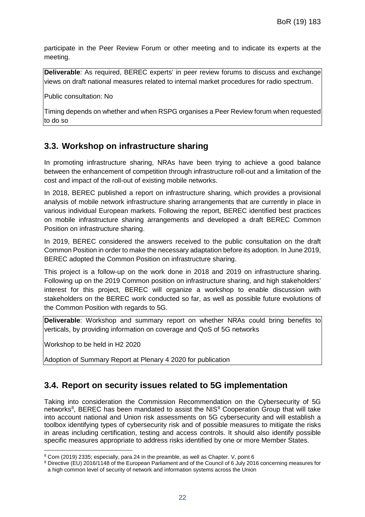participate in the Peer Review Forum or other meeting and to indicate its experts at the meeting.

**Deliverable**: As required, BEREC experts' in peer review forums to discuss and exchange views on draft national measures related to internal market procedures for radio spectrum.

Public consultation: No

Timing depends on whether and when RSPG organises a Peer Review forum when requested to do so

#### **3.3. Workshop on infrastructure sharing**

In promoting infrastructure sharing, NRAs have been trying to achieve a good balance between the enhancement of competition through infrastructure roll-out and a limitation of the cost and impact of the roll-out of existing mobile networks.

In 2018, BEREC published a report on infrastructure sharing, which provides a provisional analysis of mobile network infrastructure sharing arrangements that are currently in place in various individual European markets. Following the report, BEREC identified best practices on mobile infrastructure sharing arrangements and developed a draft BEREC Common Position on infrastructure sharing.

In 2019, BEREC considered the answers received to the public consultation on the draft Common Position in order to make the necessary adaptation before its adoption. In June 2019, BEREC adopted the Common Position on infrastructure sharing.

This project is a follow-up on the work done in 2018 and 2019 on infrastructure sharing. Following up on the 2019 Common position on infrastructure sharing, and high stakeholders' interest for this project, BEREC will organize a workshop to enable discussion with stakeholders on the BEREC work conducted so far, as well as possible future evolutions of the Common Position with regards to 5G.

**Deliverable:** Workshop and summary report on whether NRAs could bring benefits to verticals, by providing information on coverage and QoS of 5G networks

Workshop to be held in H2 2020

l

Adoption of Summary Report at Plenary 4 2020 for publication

#### **3.4. Report on security issues related to 5G implementation**

Taking into consideration the Commission Recommendation on the Cybersecurity of 5G networks<sup>[8](#page-22-0)</sup>, BEREC has been mandated to assist the NIS<sup>[9](#page-22-1)</sup> Cooperation Group that will take into account national and Union risk assessments on 5G cybersecurity and will establish a toolbox identifying types of cybersecurity risk and of possible measures to mitigate the risks in areas including certification, testing and access controls. It should also identify possible specific measures appropriate to address risks identified by one or more Member States.

<span id="page-22-0"></span><sup>8</sup> Com (2019) 2335; especially, para.24 in the preamble, as well as Chapter. V, point 6

<span id="page-22-1"></span><sup>9</sup> Directive (EU) 2016/1148 of the European Parliament and of the Council of 6 July 2016 concerning measures for a high common level of security of network and information systems across the Union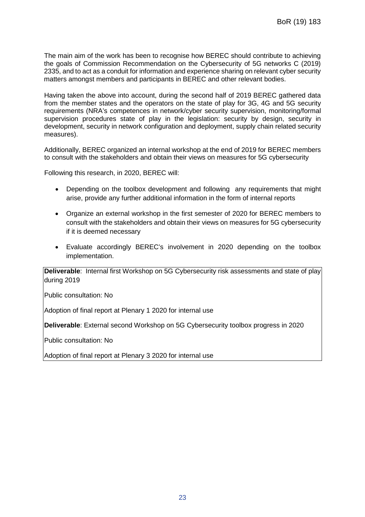The main aim of the work has been to recognise how BEREC should contribute to achieving the goals of Commission Recommendation on the Cybersecurity of 5G networks C (2019) 2335, and to act as a conduit for information and experience sharing on relevant cyber security matters amongst members and participants in BEREC and other relevant bodies.

Having taken the above into account, during the second half of 2019 BEREC gathered data from the member states and the operators on the state of play for 3G, 4G and 5G security requirements (NRA's competences in network/cyber security supervision, monitoring/formal supervision procedures state of play in the legislation: security by design, security in development, security in network configuration and deployment, supply chain related security measures).

Additionally, BEREC organized an internal workshop at the end of 2019 for BEREC members to consult with the stakeholders and obtain their views on measures for 5G cybersecurity

Following this research, in 2020, BEREC will:

- Depending on the toolbox development and following any requirements that might arise, provide any further additional information in the form of internal reports
- Organize an external workshop in the first semester of 2020 for BEREC members to consult with the stakeholders and obtain their views on measures for 5G cybersecurity if it is deemed necessary
- Evaluate accordingly BEREC's involvement in 2020 depending on the toolbox implementation.

**Deliverable**: Internal first Workshop on 5G Cybersecurity risk assessments and state of play during 2019

Public consultation: No

Adoption of final report at Plenary 1 2020 for internal use

**Deliverable**: External second Workshop on 5G Cybersecurity toolbox progress in 2020

Public consultation: No

Adoption of final report at Plenary 3 2020 for internal use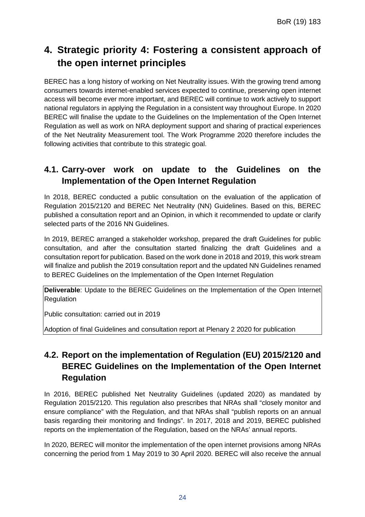## **4. Strategic priority 4: Fostering a consistent approach of the open internet principles**

BEREC has a long history of working on Net Neutrality issues. With the growing trend among consumers towards internet-enabled services expected to continue, preserving open internet access will become ever more important, and BEREC will continue to work actively to support national regulators in applying the Regulation in a consistent way throughout Europe. In 2020 BEREC will finalise the update to the Guidelines on the Implementation of the Open Internet Regulation as well as work on NRA deployment support and sharing of practical experiences of the Net Neutrality Measurement tool. The Work Programme 2020 therefore includes the following activities that contribute to this strategic goal.

### **4.1. Carry-over work on update to the Guidelines on the Implementation of the Open Internet Regulation**

In 2018, BEREC conducted a public consultation on the evaluation of the application of Regulation 2015/2120 and BEREC Net Neutrality (NN) Guidelines. Based on this, BEREC published a consultation report and an Opinion, in which it recommended to update or clarify selected parts of the 2016 NN Guidelines.

In 2019, BEREC arranged a stakeholder workshop, prepared the draft Guidelines for public consultation, and after the consultation started finalizing the draft Guidelines and a consultation report for publication. Based on the work done in 2018 and 2019, this work stream will finalize and publish the 2019 consultation report and the updated NN Guidelines renamed to BEREC Guidelines on the Implementation of the Open Internet Regulation

**Deliverable**: Update to the BEREC Guidelines on the Implementation of the Open Internet **Regulation** 

Public consultation: carried out in 2019

Adoption of final Guidelines and consultation report at Plenary 2 2020 for publication

### **4.2. Report on the implementation of Regulation (EU) 2015/2120 and BEREC Guidelines on the Implementation of the Open Internet Regulation**

In 2016, BEREC published Net Neutrality Guidelines (updated 2020) as mandated by Regulation 2015/2120. This regulation also prescribes that NRAs shall "closely monitor and ensure compliance" with the Regulation, and that NRAs shall "publish reports on an annual basis regarding their monitoring and findings". In 2017, 2018 and 2019, BEREC published reports on the implementation of the Regulation, based on the NRAs' annual reports.

In 2020, BEREC will monitor the implementation of the open internet provisions among NRAs concerning the period from 1 May 2019 to 30 April 2020. BEREC will also receive the annual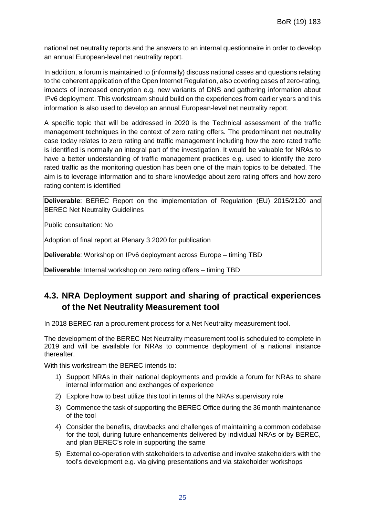national net neutrality reports and the answers to an internal questionnaire in order to develop an annual European-level net neutrality report.

In addition, a forum is maintained to (informally) discuss national cases and questions relating to the coherent application of the Open Internet Regulation, also covering cases of zero-rating, impacts of increased encryption e.g. new variants of DNS and gathering information about IPv6 deployment. This workstream should build on the experiences from earlier years and this information is also used to develop an annual European-level net neutrality report.

A specific topic that will be addressed in 2020 is the Technical assessment of the traffic management techniques in the context of zero rating offers. The predominant net neutrality case today relates to zero rating and traffic management including how the zero rated traffic is identified is normally an integral part of the investigation. It would be valuable for NRAs to have a better understanding of traffic management practices e.g. used to identify the zero rated traffic as the monitoring question has been one of the main topics to be debated. The aim is to leverage information and to share knowledge about zero rating offers and how zero rating content is identified

**Deliverable**: BEREC Report on the implementation of Regulation (EU) 2015/2120 and BEREC Net Neutrality Guidelines

Public consultation: No

Adoption of final report at Plenary 3 2020 for publication

**Deliverable**: Workshop on IPv6 deployment across Europe – timing TBD

**Deliverable**: Internal workshop on zero rating offers – timing TBD

### **4.3. NRA Deployment support and sharing of practical experiences of the Net Neutrality Measurement tool**

In 2018 BEREC ran a procurement process for a Net Neutrality measurement tool.

The development of the BEREC Net Neutrality measurement tool is scheduled to complete in 2019 and will be available for NRAs to commence deployment of a national instance thereafter.

With this workstream the BEREC intends to:

- 1) Support NRAs in their national deployments and provide a forum for NRAs to share internal information and exchanges of experience
- 2) Explore how to best utilize this tool in terms of the NRAs supervisory role
- 3) Commence the task of supporting the BEREC Office during the 36 month maintenance of the tool
- 4) Consider the benefits, drawbacks and challenges of maintaining a common codebase for the tool, during future enhancements delivered by individual NRAs or by BEREC, and plan BEREC's role in supporting the same
- 5) External co-operation with stakeholders to advertise and involve stakeholders with the tool's development e.g. via giving presentations and via stakeholder workshops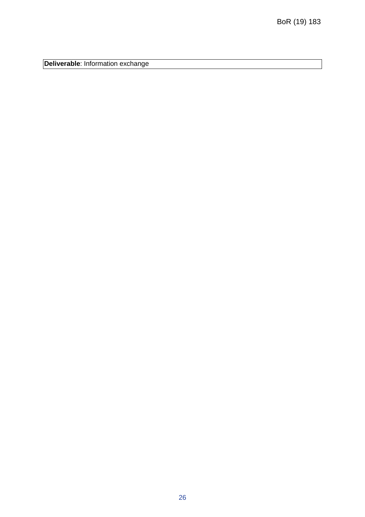**Deliverable**: Information exchange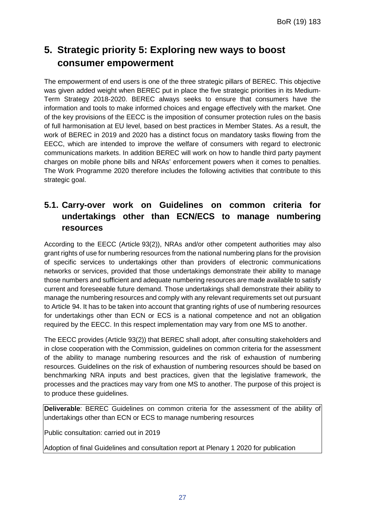## **5. Strategic priority 5: Exploring new ways to boost consumer empowerment**

The empowerment of end users is one of the three strategic pillars of BEREC. This objective was given added weight when BEREC put in place the five strategic priorities in its Medium-Term Strategy 2018-2020. BEREC always seeks to ensure that consumers have the information and tools to make informed choices and engage effectively with the market. One of the key provisions of the EECC is the imposition of consumer protection rules on the basis of full harmonisation at EU level, based on best practices in Member States. As a result, the work of BEREC in 2019 and 2020 has a distinct focus on mandatory tasks flowing from the EECC, which are intended to improve the welfare of consumers with regard to electronic communications markets. In addition BEREC will work on how to handle third party payment charges on mobile phone bills and NRAs' enforcement powers when it comes to penalties. The Work Programme 2020 therefore includes the following activities that contribute to this strategic goal.

### **5.1. Carry-over work on Guidelines on common criteria for undertakings other than ECN/ECS to manage numbering resources**

According to the EECC (Article 93(2)), NRAs and/or other competent authorities may also grant rights of use for numbering resources from the national numbering plans for the provision of specific services to undertakings other than providers of electronic communications networks or services, provided that those undertakings demonstrate their ability to manage those numbers and sufficient and adequate numbering resources are made available to satisfy current and foreseeable future demand. Those undertakings shall demonstrate their ability to manage the numbering resources and comply with any relevant requirements set out pursuant to Article 94. It has to be taken into account that granting rights of use of numbering resources for undertakings other than ECN or ECS is a national competence and not an obligation required by the EECC. In this respect implementation may vary from one MS to another.

The EECC provides (Article 93(2)) that BEREC shall adopt, after consulting stakeholders and in close cooperation with the Commission, guidelines on common criteria for the assessment of the ability to manage numbering resources and the risk of exhaustion of numbering resources. Guidelines on the risk of exhaustion of numbering resources should be based on benchmarking NRA inputs and best practices, given that the legislative framework, the processes and the practices may vary from one MS to another. The purpose of this project is to produce these guidelines.

**Deliverable**: BEREC Guidelines on common criteria for the assessment of the ability of undertakings other than ECN or ECS to manage numbering resources

Public consultation: carried out in 2019

Adoption of final Guidelines and consultation report at Plenary 1 2020 for publication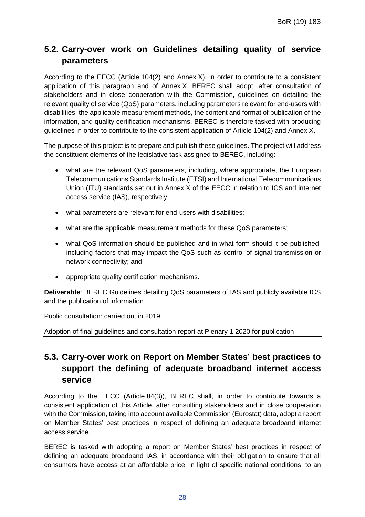### **5.2. Carry-over work on Guidelines detailing quality of service parameters**

According to the EECC (Article 104(2) and Annex X), in order to contribute to a consistent application of this paragraph and of Annex X, BEREC shall adopt, after consultation of stakeholders and in close cooperation with the Commission, guidelines on detailing the relevant quality of service (QoS) parameters, including parameters relevant for end-users with disabilities, the applicable measurement methods, the content and format of publication of the information, and quality certification mechanisms. BEREC is therefore tasked with producing guidelines in order to contribute to the consistent application of Article 104(2) and Annex X.

The purpose of this project is to prepare and publish these guidelines. The project will address the constituent elements of the legislative task assigned to BEREC, including:

- what are the relevant QoS parameters, including, where appropriate, the European Telecommunications Standards Institute (ETSI) and International Telecommunications Union (ITU) standards set out in Annex X of the EECC in relation to ICS and internet access service (IAS), respectively;
- what parameters are relevant for end-users with disabilities;
- what are the applicable measurement methods for these QoS parameters;
- what QoS information should be published and in what form should it be published, including factors that may impact the QoS such as control of signal transmission or network connectivity; and
- appropriate quality certification mechanisms.

**Deliverable**: BEREC Guidelines detailing QoS parameters of IAS and publicly available ICS and the publication of information

Public consultation: carried out in 2019

Adoption of final guidelines and consultation report at Plenary 1 2020 for publication

### **5.3. Carry-over work on Report on Member States' best practices to support the defining of adequate broadband internet access service**

According to the EECC (Article 84(3)), BEREC shall, in order to contribute towards a consistent application of this Article, after consulting stakeholders and in close cooperation with the Commission, taking into account available Commission (Eurostat) data, adopt a report on Member States' best practices in respect of defining an adequate broadband internet access service.

BEREC is tasked with adopting a report on Member States' best practices in respect of defining an adequate broadband IAS, in accordance with their obligation to ensure that all consumers have access at an affordable price, in light of specific national conditions, to an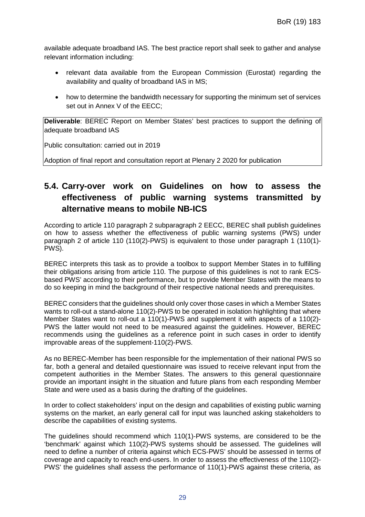available adequate broadband IAS. The best practice report shall seek to gather and analyse relevant information including:

- relevant data available from the European Commission (Eurostat) regarding the availability and quality of broadband IAS in MS;
- how to determine the bandwidth necessary for supporting the minimum set of services set out in Annex V of the EECC;

**Deliverable**: BEREC Report on Member States' best practices to support the defining of adequate broadband IAS

Public consultation: carried out in 2019

Adoption of final report and consultation report at Plenary 2 2020 for publication

### **5.4. Carry-over work on Guidelines on how to assess the effectiveness of public warning systems transmitted by alternative means to mobile NB-ICS**

According to article 110 paragraph 2 subparagraph 2 EECC, BEREC shall publish guidelines on how to assess whether the effectiveness of public warning systems (PWS) under paragraph 2 of article 110 (110(2)-PWS) is equivalent to those under paragraph 1 (110(1)- PWS).

BEREC interprets this task as to provide a toolbox to support Member States in to fulfilling their obligations arising from article 110. The purpose of this guidelines is not to rank ECSbased PWS' according to their performance, but to provide Member States with the means to do so keeping in mind the background of their respective national needs and prerequisites.

BEREC considers that the guidelines should only cover those cases in which a Member States wants to roll-out a stand-alone 110(2)-PWS to be operated in isolation highlighting that where Member States want to roll-out a 110(1)-PWS and supplement it with aspects of a 110(2)- PWS the latter would not need to be measured against the guidelines. However, BEREC recommends using the guidelines as a reference point in such cases in order to identify improvable areas of the supplement-110(2)-PWS.

As no BEREC-Member has been responsible for the implementation of their national PWS so far, both a general and detailed questionnaire was issued to receive relevant input from the competent authorities in the Member States. The answers to this general questionnaire provide an important insight in the situation and future plans from each responding Member State and were used as a basis during the drafting of the guidelines.

In order to collect stakeholders' input on the design and capabilities of existing public warning systems on the market, an early general call for input was launched asking stakeholders to describe the capabilities of existing systems.

The guidelines should recommend which 110(1)-PWS systems, are considered to be the 'benchmark' against which 110(2)-PWS systems should be assessed. The guidelines will need to define a number of criteria against which ECS-PWS' should be assessed in terms of coverage and capacity to reach end-users. In order to assess the effectiveness of the 110(2)- PWS' the guidelines shall assess the performance of 110(1)-PWS against these criteria, as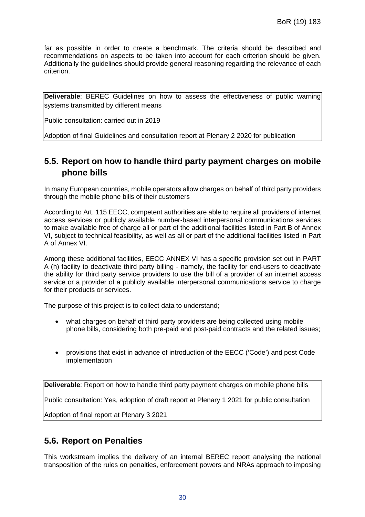far as possible in order to create a benchmark. The criteria should be described and recommendations on aspects to be taken into account for each criterion should be given. Additionally the guidelines should provide general reasoning regarding the relevance of each criterion.

**Deliverable:** BEREC Guidelines on how to assess the effectiveness of public warning systems transmitted by different means

Public consultation: carried out in 2019

Adoption of final Guidelines and consultation report at Plenary 2 2020 for publication

#### **5.5. Report on how to handle third party payment charges on mobile phone bills**

In many European countries, mobile operators allow charges on behalf of third party providers through the mobile phone bills of their customers

According to Art. 115 EECC, competent authorities are able to require all providers of internet access services or publicly available number-based interpersonal communications services to make available free of charge all or part of the additional facilities listed in Part B of Annex VI, subject to technical feasibility, as well as all or part of the additional facilities listed in Part A of Annex VI.

Among these additional facilities, EECC ANNEX VI has a specific provision set out in PART A (h) facility to deactivate third party billing - namely, the facility for end-users to deactivate the ability for third party service providers to use the bill of a provider of an internet access service or a provider of a publicly available interpersonal communications service to charge for their products or services.

The purpose of this project is to collect data to understand;

- what charges on behalf of third party providers are being collected using mobile phone bills, considering both pre-paid and post-paid contracts and the related issues;
- provisions that exist in advance of introduction of the EECC ('Code') and post Code implementation

**Deliverable**: Report on how to handle third party payment charges on mobile phone bills

Public consultation: Yes, adoption of draft report at Plenary 1 2021 for public consultation

Adoption of final report at Plenary 3 2021

#### **5.6. Report on Penalties**

This workstream implies the delivery of an internal BEREC report analysing the national transposition of the rules on penalties, enforcement powers and NRAs approach to imposing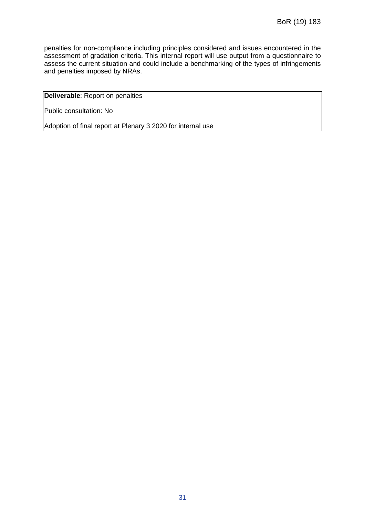penalties for non-compliance including principles considered and issues encountered in the assessment of gradation criteria. This internal report will use output from a questionnaire to assess the current situation and could include a benchmarking of the types of infringements and penalties imposed by NRAs.

**Deliverable**: Report on penalties

Public consultation: No

Adoption of final report at Plenary 3 2020 for internal use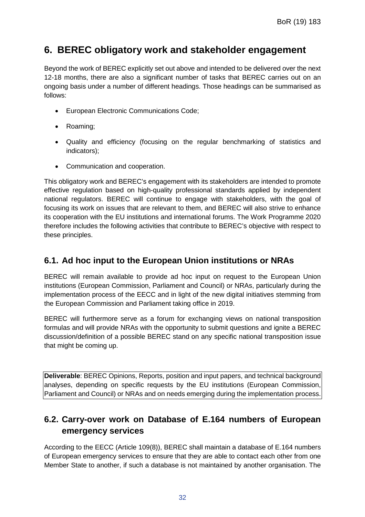### **6. BEREC obligatory work and stakeholder engagement**

Beyond the work of BEREC explicitly set out above and intended to be delivered over the next 12-18 months, there are also a significant number of tasks that BEREC carries out on an ongoing basis under a number of different headings. Those headings can be summarised as follows:

- European Electronic Communications Code;
- Roaming;
- Quality and efficiency (focusing on the regular benchmarking of statistics and indicators);
- Communication and cooperation.

This obligatory work and BEREC's engagement with its stakeholders are intended to promote effective regulation based on high-quality professional standards applied by independent national regulators. BEREC will continue to engage with stakeholders, with the goal of focusing its work on issues that are relevant to them, and BEREC will also strive to enhance its cooperation with the EU institutions and international forums. The Work Programme 2020 therefore includes the following activities that contribute to BEREC's objective with respect to these principles.

#### **6.1. Ad hoc input to the European Union institutions or NRAs**

BEREC will remain available to provide ad hoc input on request to the European Union institutions (European Commission, Parliament and Council) or NRAs, particularly during the implementation process of the EECC and in light of the new digital initiatives stemming from the European Commission and Parliament taking office in 2019.

BEREC will furthermore serve as a forum for exchanging views on national transposition formulas and will provide NRAs with the opportunity to submit questions and ignite a BEREC discussion/definition of a possible BEREC stand on any specific national transposition issue that might be coming up.

**Deliverable**: BEREC Opinions, Reports, position and input papers, and technical background analyses, depending on specific requests by the EU institutions (European Commission, Parliament and Council) or NRAs and on needs emerging during the implementation process.

#### **6.2. Carry-over work on Database of E.164 numbers of European emergency services**

According to the EECC (Article 109(8)), BEREC shall maintain a database of E.164 numbers of European emergency services to ensure that they are able to contact each other from one Member State to another, if such a database is not maintained by another organisation. The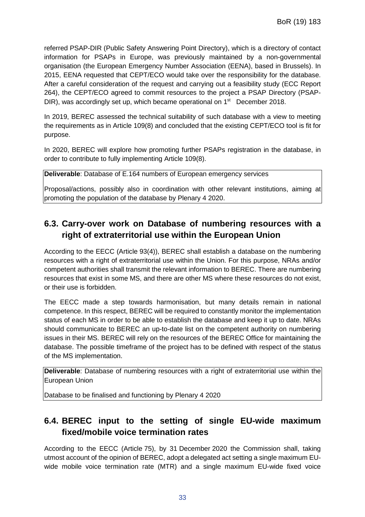referred PSAP-DIR (Public Safety Answering Point Directory), which is a directory of contact information for PSAPs in Europe, was previously maintained by a non-governmental organisation (the European Emergency Number Association (EENA), based in Brussels). In 2015, EENA requested that CEPT/ECO would take over the responsibility for the database. After a careful consideration of the request and carrying out a feasibility study (ECC Report 264), the CEPT/ECO agreed to commit resources to the project a PSAP Directory (PSAP-DIR), was accordingly set up, which became operational on 1<sup>st</sup> December 2018.

In 2019, BEREC assessed the technical suitability of such database with a view to meeting the requirements as in Article 109(8) and concluded that the existing CEPT/ECO tool is fit for purpose.

In 2020, BEREC will explore how promoting further PSAPs registration in the database, in order to contribute to fully implementing Article 109(8).

**Deliverable**: Database of E.164 numbers of European emergency services

Proposal/actions, possibly also in coordination with other relevant institutions, aiming at promoting the population of the database by Plenary 4 2020.

#### **6.3. Carry-over work on Database of numbering resources with a right of extraterritorial use within the European Union**

According to the EECC (Article 93(4)), BEREC shall establish a database on the numbering resources with a right of extraterritorial use within the Union. For this purpose, NRAs and/or competent authorities shall transmit the relevant information to BEREC. There are numbering resources that exist in some MS, and there are other MS where these resources do not exist, or their use is forbidden.

The EECC made a step towards harmonisation, but many details remain in national competence. In this respect, BEREC will be required to constantly monitor the implementation status of each MS in order to be able to establish the database and keep it up to date. NRAs should communicate to BEREC an up-to-date list on the competent authority on numbering issues in their MS. BEREC will rely on the resources of the BEREC Office for maintaining the database. The possible timeframe of the project has to be defined with respect of the status of the MS implementation.

**Deliverable**: Database of numbering resources with a right of extraterritorial use within the European Union

Database to be finalised and functioning by Plenary 4 2020

### **6.4. BEREC input to the setting of single EU-wide maximum fixed/mobile voice termination rates**

According to the EECC (Article 75), by 31 December 2020 the Commission shall, taking utmost account of the opinion of BEREC, adopt a delegated act setting a single maximum EUwide mobile voice termination rate (MTR) and a single maximum EU-wide fixed voice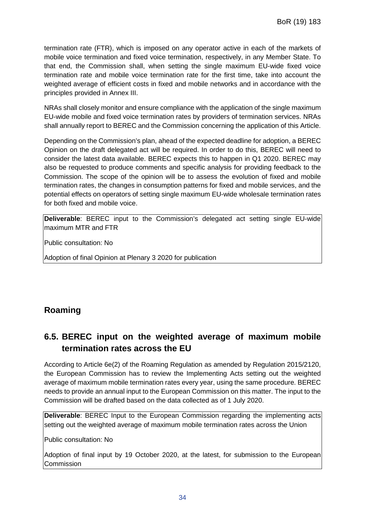termination rate (FTR), which is imposed on any operator active in each of the markets of mobile voice termination and fixed voice termination, respectively, in any Member State. To that end, the Commission shall, when setting the single maximum EU-wide fixed voice termination rate and mobile voice termination rate for the first time, take into account the weighted average of efficient costs in fixed and mobile networks and in accordance with the principles provided in Annex III.

NRAs shall closely monitor and ensure compliance with the application of the single maximum EU-wide mobile and fixed voice termination rates by providers of termination services. NRAs shall annually report to BEREC and the Commission concerning the application of this Article.

Depending on the Commission's plan, ahead of the expected deadline for adoption, a BEREC Opinion on the draft delegated act will be required. In order to do this, BEREC will need to consider the latest data available. BEREC expects this to happen in Q1 2020. BEREC may also be requested to produce comments and specific analysis for providing feedback to the Commission. The scope of the opinion will be to assess the evolution of fixed and mobile termination rates, the changes in consumption patterns for fixed and mobile services, and the potential effects on operators of setting single maximum EU-wide wholesale termination rates for both fixed and mobile voice.

**Deliverable**: BEREC input to the Commission's delegated act setting single EU-wide maximum MTR and FTR

Public consultation: No

Adoption of final Opinion at Plenary 3 2020 for publication

#### **Roaming**

### **6.5. BEREC input on the weighted average of maximum mobile termination rates across the EU**

According to Article 6e(2) of the Roaming Regulation as amended by Regulation 2015/2120, the European Commission has to review the Implementing Acts setting out the weighted average of maximum mobile termination rates every year, using the same procedure. BEREC needs to provide an annual input to the European Commission on this matter. The input to the Commission will be drafted based on the data collected as of 1 July 2020.

**Deliverable:** BEREC Input to the European Commission regarding the implementing acts setting out the weighted average of maximum mobile termination rates across the Union

Public consultation: No

Adoption of final input by 19 October 2020, at the latest, for submission to the European **Commission**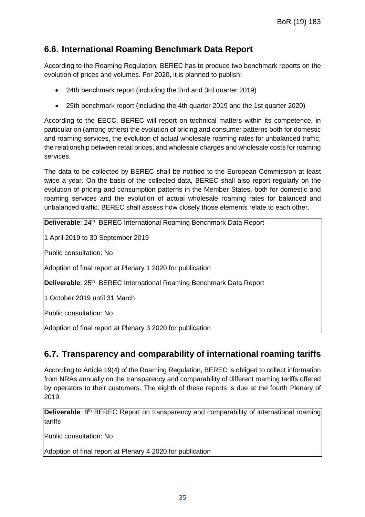#### **6.6. International Roaming Benchmark Data Report**

According to the Roaming Regulation, BEREC has to produce two benchmark reports on the evolution of prices and volumes. For 2020, it is planned to publish:

- 24th benchmark report (including the 2nd and 3rd quarter 2019)
- 25th benchmark report (including the 4th quarter 2019 and the 1st quarter 2020)

According to the EECC, BEREC will report on technical matters within its competence, in particular on (among others) the evolution of pricing and consumer patterns both for domestic and roaming services, the evolution of actual wholesale roaming rates for unbalanced traffic, the relationship between retail prices, and wholesale charges and wholesale costs for roaming services.

The data to be collected by BEREC shall be notified to the European Commission at least twice a year. On the basis of the collected data, BEREC shall also report regularly on the evolution of pricing and consumption patterns in the Member States, both for domestic and roaming services and the evolution of actual wholesale roaming rates for balanced and unbalanced traffic. BEREC shall assess how closely those elements relate to each other.

**Deliverable**: 24<sup>th</sup> BEREC International Roaming Benchmark Data Report

1 April 2019 to 30 September 2019

Public consultation: No

Adoption of final report at Plenary 1 2020 for publication

Deliverable: 25<sup>th</sup> BEREC International Roaming Benchmark Data Report

1 October 2019 until 31 March

Public consultation: No

Adoption of final report at Plenary 3 2020 for publication

#### **6.7. Transparency and comparability of international roaming tariffs**

According to Article 19(4) of the Roaming Regulation, BEREC is obliged to collect information from NRAs annually on the transparency and comparability of different roaming tariffs offered by operators to their customers. The eighth of these reports is due at the fourth Plenary of 2019.

**Deliverable**: 8<sup>th</sup> BEREC Report on transparency and comparability of international roaming tariffs

Public consultation: No

Adoption of final report at Plenary 4 2020 for publication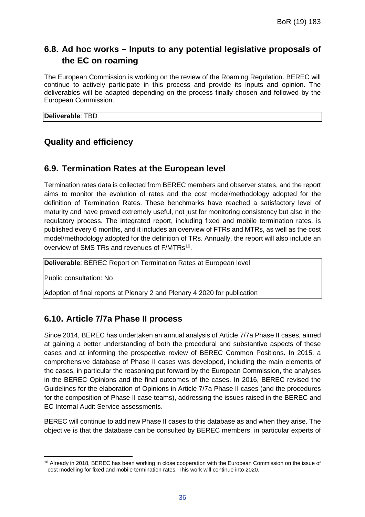### **6.8. Ad hoc works – Inputs to any potential legislative proposals of the EC on roaming**

The European Commission is working on the review of the Roaming Regulation. BEREC will continue to actively participate in this process and provide its inputs and opinion. The deliverables will be adapted depending on the process finally chosen and followed by the European Commission.

**Deliverable**: TBD

#### **Quality and efficiency**

#### **6.9. Termination Rates at the European level**

Termination rates data is collected from BEREC members and observer states, and the report aims to monitor the evolution of rates and the cost model/methodology adopted for the definition of Termination Rates. These benchmarks have reached a satisfactory level of maturity and have proved extremely useful, not just for monitoring consistency but also in the regulatory process. The integrated report, including fixed and mobile termination rates, is published every 6 months, and it includes an overview of FTRs and MTRs, as well as the cost model/methodology adopted for the definition of TRs. Annually, the report will also include an overview of SMS TRs and revenues of F/MTRs<sup>[10](#page-36-0)</sup>.

**Deliverable**: BEREC Report on Termination Rates at European level

Public consultation: No

Adoption of final reports at Plenary 2 and Plenary 4 2020 for publication

#### **6.10. Article 7/7a Phase II process**

Since 2014, BEREC has undertaken an annual analysis of Article 7/7a Phase II cases, aimed at gaining a better understanding of both the procedural and substantive aspects of these cases and at informing the prospective review of BEREC Common Positions. In 2015, a comprehensive database of Phase II cases was developed, including the main elements of the cases, in particular the reasoning put forward by the European Commission, the analyses in the BEREC Opinions and the final outcomes of the cases. In 2016, BEREC revised the Guidelines for the elaboration of Opinions in Article 7/7a Phase II cases (and the procedures for the composition of Phase II case teams), addressing the issues raised in the BEREC and EC Internal Audit Service assessments.

BEREC will continue to add new Phase II cases to this database as and when they arise. The objective is that the database can be consulted by BEREC members, in particular experts of

<span id="page-36-0"></span> $\overline{a}$ <sup>10</sup> Already in 2018, BEREC has been working in close cooperation with the European Commission on the issue of cost modelling for fixed and mobile termination rates. This work will continue into 2020.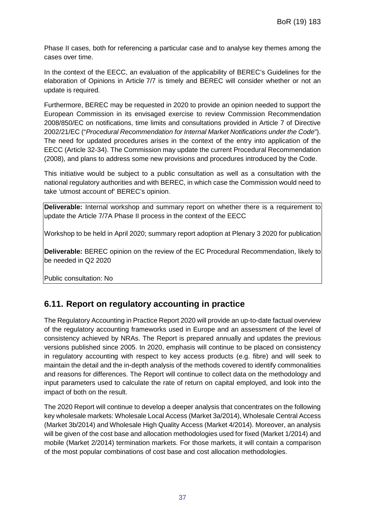Phase II cases, both for referencing a particular case and to analyse key themes among the cases over time.

In the context of the EECC, an evaluation of the applicability of BEREC's Guidelines for the elaboration of Opinions in Article 7/7 is timely and BEREC will consider whether or not an update is required.

Furthermore, BEREC may be requested in 2020 to provide an opinion needed to support the European Commission in its envisaged exercise to review Commission Recommendation 2008/850/EC on notifications, time limits and consultations provided in Article 7 of Directive 2002/21/EC ("*Procedural Recommendation for Internal Market Notifications under the Code*"). The need for updated procedures arises in the context of the entry into application of the EECC (Article 32-34). The Commission may update the current Procedural Recommendation (2008), and plans to address some new provisions and procedures introduced by the Code.

This initiative would be subject to a public consultation as well as a consultation with the national regulatory authorities and with BEREC, in which case the Commission would need to take 'utmost account of' BEREC's opinion.

**Deliverable:** Internal workshop and summary report on whether there is a requirement to update the Article 7/7A Phase II process in the context of the EECC

Workshop to be held in April 2020; summary report adoption at Plenary 3 2020 for publication

**Deliverable:** BEREC opinion on the review of the EC Procedural Recommendation, likely to be needed in Q2 2020

Public consultation: No

#### **6.11. Report on regulatory accounting in practice**

The Regulatory Accounting in Practice Report 2020 will provide an up-to-date factual overview of the regulatory accounting frameworks used in Europe and an assessment of the level of consistency achieved by NRAs. The Report is prepared annually and updates the previous versions published since 2005. In 2020, emphasis will continue to be placed on consistency in regulatory accounting with respect to key access products (e.g. fibre) and will seek to maintain the detail and the in-depth analysis of the methods covered to identify commonalities and reasons for differences. The Report will continue to collect data on the methodology and input parameters used to calculate the rate of return on capital employed, and look into the impact of both on the result.

The 2020 Report will continue to develop a deeper analysis that concentrates on the following key wholesale markets: Wholesale Local Access (Market 3a/2014), Wholesale Central Access (Market 3b/2014) and Wholesale High Quality Access (Market 4/2014). Moreover, an analysis will be given of the cost base and allocation methodologies used for fixed (Market 1/2014) and mobile (Market 2/2014) termination markets. For those markets, it will contain a comparison of the most popular combinations of cost base and cost allocation methodologies.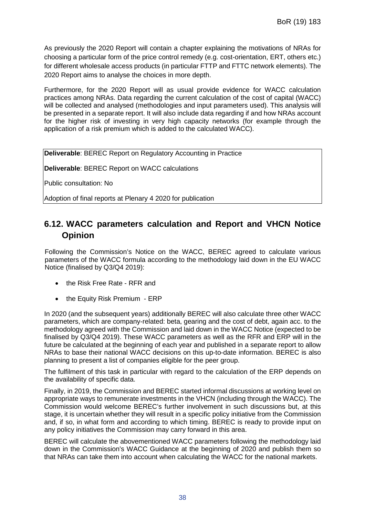As previously the 2020 Report will contain a chapter explaining the motivations of NRAs for choosing a particular form of the price control remedy (e.g. cost-orientation, ERT, others etc.) for different wholesale access products (in particular FTTP and FTTC network elements). The 2020 Report aims to analyse the choices in more depth.

Furthermore, for the 2020 Report will as usual provide evidence for WACC calculation practices among NRAs. Data regarding the current calculation of the cost of capital (WACC) will be collected and analysed (methodologies and input parameters used). This analysis will be presented in a separate report. It will also include data regarding if and how NRAs account for the higher risk of investing in very high capacity networks (for example through the application of a risk premium which is added to the calculated WACC).

**Deliverable**: BEREC Report on Regulatory Accounting in Practice

**Deliverable**: BEREC Report on WACC calculations

Public consultation: No

Adoption of final reports at Plenary 4 2020 for publication

#### **6.12. WACC parameters calculation and Report and VHCN Notice Opinion**

Following the Commission's Notice on the WACC, BEREC agreed to calculate various parameters of the WACC formula according to the methodology laid down in the EU WACC Notice (finalised by Q3/Q4 2019):

- the Risk Free Rate RFR and
- the Equity Risk Premium ERP

In 2020 (and the subsequent years) additionally BEREC will also calculate three other WACC parameters, which are company-related: beta, gearing and the cost of debt, again acc. to the methodology agreed with the Commission and laid down in the WACC Notice (expected to be finalised by Q3/Q4 2019). These WACC parameters as well as the RFR and ERP will in the future be calculated at the beginning of each year and published in a separate report to allow NRAs to base their national WACC decisions on this up-to-date information. BEREC is also planning to present a list of companies eligible for the peer group.

The fulfilment of this task in particular with regard to the calculation of the ERP depends on the availability of specific data.

Finally, in 2019, the Commission and BEREC started informal discussions at working level on appropriate ways to remunerate investments in the VHCN (including through the WACC). The Commission would welcome BEREC's further involvement in such discussions but, at this stage, it is uncertain whether they will result in a specific policy initiative from the Commission and, if so, in what form and according to which timing. BEREC is ready to provide input on any policy initiatives the Commission may carry forward in this area.

BEREC will calculate the abovementioned WACC parameters following the methodology laid down in the Commission's WACC Guidance at the beginning of 2020 and publish them so that NRAs can take them into account when calculating the WACC for the national markets.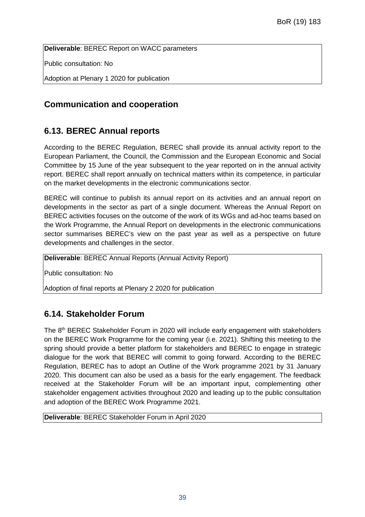**Deliverable**: BEREC Report on WACC parameters

Public consultation: No

Adoption at Plenary 1 2020 for publication

## **Communication and cooperation**

## **6.13. BEREC Annual reports**

According to the BEREC Regulation, BEREC shall provide its annual activity report to the European Parliament, the Council, the Commission and the European Economic and Social Committee by 15 June of the year subsequent to the year reported on in the annual activity report. BEREC shall report annually on technical matters within its competence, in particular on the market developments in the electronic communications sector.

BEREC will continue to publish its annual report on its activities and an annual report on developments in the sector as part of a single document. Whereas the Annual Report on BEREC activities focuses on the outcome of the work of its WGs and ad-hoc teams based on the Work Programme, the Annual Report on developments in the electronic communications sector summarises BEREC's view on the past year as well as a perspective on future developments and challenges in the sector.

**Deliverable**: BEREC Annual Reports (Annual Activity Report)

Public consultation: No

Adoption of final reports at Plenary 2 2020 for publication

## **6.14. Stakeholder Forum**

The 8<sup>th</sup> BEREC Stakeholder Forum in 2020 will include early engagement with stakeholders on the BEREC Work Programme for the coming year (i.e. 2021). Shifting this meeting to the spring should provide a better platform for stakeholders and BEREC to engage in strategic dialogue for the work that BEREC will commit to going forward. According to the BEREC Regulation, BEREC has to adopt an Outline of the Work programme 2021 by 31 January 2020. This document can also be used as a basis for the early engagement. The feedback received at the Stakeholder Forum will be an important input, complementing other stakeholder engagement activities throughout 2020 and leading up to the public consultation and adoption of the BEREC Work Programme 2021.

**Deliverable**: BEREC Stakeholder Forum in April 2020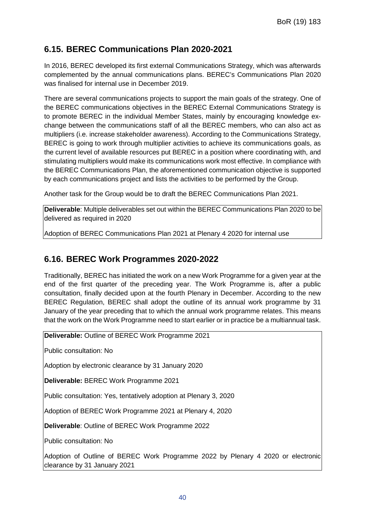### **6.15. BEREC Communications Plan 2020-2021**

In 2016, BEREC developed its first external Communications Strategy, which was afterwards complemented by the annual communications plans. BEREC's Communications Plan 2020 was finalised for internal use in December 2019.

There are several communications projects to support the main goals of the strategy. One of the BEREC communications objectives in the BEREC External Communications Strategy is to promote BEREC in the individual Member States, mainly by encouraging knowledge exchange between the communications staff of all the BEREC members, who can also act as multipliers (i.e. increase stakeholder awareness). According to the Communications Strategy, BEREC is going to work through multiplier activities to achieve its communications goals, as the current level of available resources put BEREC in a position where coordinating with, and stimulating multipliers would make its communications work most effective. In compliance with the BEREC Communications Plan, the aforementioned communication objective is supported by each communications project and lists the activities to be performed by the Group.

Another task for the Group would be to draft the BEREC Communications Plan 2021.

**Deliverable**: Multiple deliverables set out within the BEREC Communications Plan 2020 to be delivered as required in 2020

Adoption of BEREC Communications Plan 2021 at Plenary 4 2020 for internal use

#### **6.16. BEREC Work Programmes 2020-2022**

Traditionally, BEREC has initiated the work on a new Work Programme for a given year at the end of the first quarter of the preceding year. The Work Programme is, after a public consultation, finally decided upon at the fourth Plenary in December. According to the new BEREC Regulation, BEREC shall adopt the outline of its annual work programme by 31 January of the year preceding that to which the annual work programme relates. This means that the work on the Work Programme need to start earlier or in practice be a multiannual task.

**Deliverable:** Outline of BEREC Work Programme 2021

Public consultation: No

Adoption by electronic clearance by 31 January 2020

**Deliverable:** BEREC Work Programme 2021

Public consultation: Yes, tentatively adoption at Plenary 3, 2020

Adoption of BEREC Work Programme 2021 at Plenary 4, 2020

**Deliverable**: Outline of BEREC Work Programme 2022

Public consultation: No

Adoption of Outline of BEREC Work Programme 2022 by Plenary 4 2020 or electronic clearance by 31 January 2021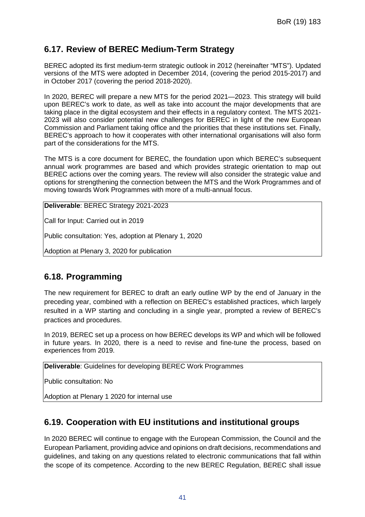#### **6.17. Review of BEREC Medium-Term Strategy**

BEREC adopted its first medium-term strategic outlook in 2012 (hereinafter "MTS"). Updated versions of the MTS were adopted in December 2014, (covering the period 2015-2017) and in October 2017 (covering the period 2018-2020).

In 2020, BEREC will prepare a new MTS for the period 2021—2023. This strategy will build upon BEREC's work to date, as well as take into account the major developments that are taking place in the digital ecosystem and their effects in a regulatory context. The MTS 2021- 2023 will also consider potential new challenges for BEREC in light of the new European Commission and Parliament taking office and the priorities that these institutions set. Finally, BEREC's approach to how it cooperates with other international organisations will also form part of the considerations for the MTS.

The MTS is a core document for BEREC, the foundation upon which BEREC's subsequent annual work programmes are based and which provides strategic orientation to map out BEREC actions over the coming years. The review will also consider the strategic value and options for strengthening the connection between the MTS and the Work Programmes and of moving towards Work Programmes with more of a multi-annual focus.

**Deliverable**: BEREC Strategy 2021-2023

Call for Input: Carried out in 2019

Public consultation: Yes, adoption at Plenary 1, 2020

Adoption at Plenary 3, 2020 for publication

#### **6.18. Programming**

The new requirement for BEREC to draft an early outline WP by the end of January in the preceding year, combined with a reflection on BEREC's established practices, which largely resulted in a WP starting and concluding in a single year, prompted a review of BEREC's practices and procedures.

In 2019, BEREC set up a process on how BEREC develops its WP and which will be followed in future years. In 2020, there is a need to revise and fine-tune the process, based on experiences from 2019.

**Deliverable**: Guidelines for developing BEREC Work Programmes

Public consultation: No

Adoption at Plenary 1 2020 for internal use

#### **6.19. Cooperation with EU institutions and institutional groups**

In 2020 BEREC will continue to engage with the European Commission, the Council and the European Parliament, providing advice and opinions on draft decisions, recommendations and guidelines, and taking on any questions related to electronic communications that fall within the scope of its competence. According to the new BEREC Regulation, BEREC shall issue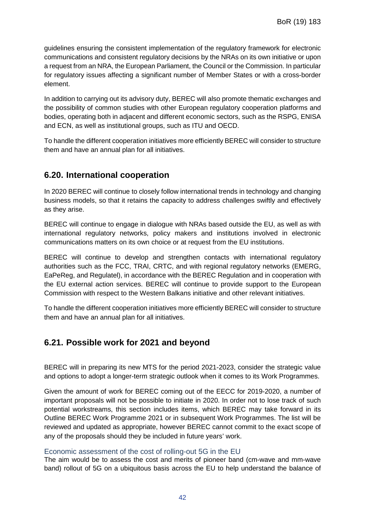guidelines ensuring the consistent implementation of the regulatory framework for electronic communications and consistent regulatory decisions by the NRAs on its own initiative or upon a request from an NRA, the European Parliament, the Council or the Commission. In particular for regulatory issues affecting a significant number of Member States or with a cross-border element.

In addition to carrying out its advisory duty, BEREC will also promote thematic exchanges and the possibility of common studies with other European regulatory cooperation platforms and bodies, operating both in adjacent and different economic sectors, such as the RSPG, ENISA and ECN, as well as institutional groups, such as ITU and OECD.

To handle the different cooperation initiatives more efficiently BEREC will consider to structure them and have an annual plan for all initiatives.

#### **6.20. International cooperation**

In 2020 BEREC will continue to closely follow international trends in technology and changing business models, so that it retains the capacity to address challenges swiftly and effectively as they arise.

BEREC will continue to engage in dialogue with NRAs based outside the EU, as well as with international regulatory networks, policy makers and institutions involved in electronic communications matters on its own choice or at request from the EU institutions.

BEREC will continue to develop and strengthen contacts with international regulatory authorities such as the FCC, TRAI, CRTC, and with regional regulatory networks (EMERG, EaPeReg, and Regulatel), in accordance with the BEREC Regulation and in cooperation with the EU external action services. BEREC will continue to provide support to the European Commission with respect to the Western Balkans initiative and other relevant initiatives.

To handle the different cooperation initiatives more efficiently BEREC will consider to structure them and have an annual plan for all initiatives.

#### **6.21. Possible work for 2021 and beyond**

BEREC will in preparing its new MTS for the period 2021-2023, consider the strategic value and options to adopt a longer-term strategic outlook when it comes to its Work Programmes.

Given the amount of work for BEREC coming out of the EECC for 2019-2020, a number of important proposals will not be possible to initiate in 2020. In order not to lose track of such potential workstreams, this section includes items, which BEREC may take forward in its Outline BEREC Work Programme 2021 or in subsequent Work Programmes. The list will be reviewed and updated as appropriate, however BEREC cannot commit to the exact scope of any of the proposals should they be included in future years' work.

#### Economic assessment of the cost of rolling-out 5G in the EU

The aim would be to assess the cost and merits of pioneer band (cm-wave and mm-wave band) rollout of 5G on a ubiquitous basis across the EU to help understand the balance of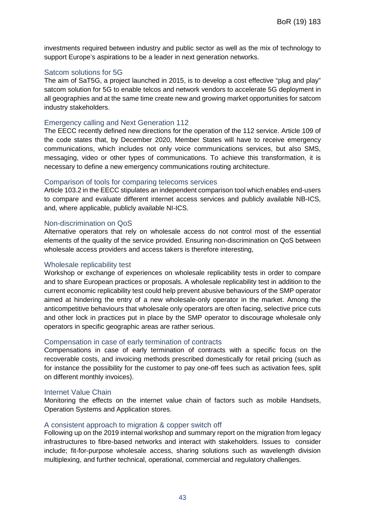investments required between industry and public sector as well as the mix of technology to support Europe's aspirations to be a leader in next generation networks.

#### Satcom solutions for 5G

The aim of SaT5G, a project launched in 2015, is to develop a cost effective "plug and play" satcom solution for 5G to enable telcos and network vendors to accelerate 5G deployment in all geographies and at the same time create new and growing market opportunities for satcom industry stakeholders.

#### Emergency calling and Next Generation 112

The EECC recently defined new directions for the operation of the 112 service. Article 109 of the code states that, by December 2020, Member States will have to receive emergency communications, which includes not only voice communications services, but also SMS, messaging, video or other types of communications. To achieve this transformation, it is necessary to define a new emergency communications routing architecture.

#### Comparison of tools for comparing telecoms services

Article 103.2 in the EECC stipulates an independent comparison tool which enables end-users to compare and evaluate different internet access services and publicly available NB-ICS, and, where applicable, publicly available NI-ICS.

#### Non-discrimination on QoS

Alternative operators that rely on wholesale access do not control most of the essential elements of the quality of the service provided. Ensuring non-discrimination on QoS between wholesale access providers and access takers is therefore interesting,

#### Wholesale replicability test

Workshop or exchange of experiences on wholesale replicability tests in order to compare and to share European practices or proposals. A wholesale replicability test in addition to the current economic replicability test could help prevent abusive behaviours of the SMP operator aimed at hindering the entry of a new wholesale-only operator in the market. Among the anticompetitive behaviours that wholesale only operators are often facing, selective price cuts and other lock in practices put in place by the SMP operator to discourage wholesale only operators in specific geographic areas are rather serious.

#### Compensation in case of early termination of contracts

Compensations in case of early termination of contracts with a specific focus on the recoverable costs, and invoicing methods prescribed domestically for retail pricing (such as for instance the possibility for the customer to pay one-off fees such as activation fees, split on different monthly invoices).

#### Internet Value Chain

Monitoring the effects on the internet value chain of factors such as mobile Handsets, Operation Systems and Application stores.

#### A consistent approach to migration & copper switch off

Following up on the 2019 internal workshop and summary report on the migration from legacy infrastructures to fibre-based networks and interact with stakeholders. Issues to consider include; fit-for-purpose wholesale access, sharing solutions such as wavelength division multiplexing, and further technical, operational, commercial and regulatory challenges.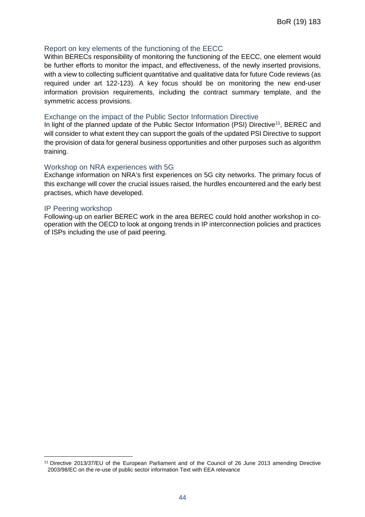#### Report on key elements of the functioning of the EECC

Within BERECs responsibility of monitoring the functioning of the EECC, one element would be further efforts to monitor the impact, and effectiveness, of the newly inserted provisions, with a view to collecting sufficient quantitative and qualitative data for future Code reviews (as required under art 122-123). A key focus should be on monitoring the new end-user information provision requirements, including the contract summary template, and the symmetric access provisions.

#### Exchange on the impact of the Public Sector Information Directive

In light of the planned update of the Public Sector Information (PSI) Directive<sup>11</sup>, BEREC and will consider to what extent they can support the goals of the updated PSI Directive to support the provision of data for general business opportunities and other purposes such as algorithm training.

#### Workshop on NRA experiences with 5G

Exchange information on NRA's first experiences on 5G city networks. The primary focus of this exchange will cover the crucial issues raised, the hurdles encountered and the early best practises, which have developed.

#### IP Peering workshop

Following-up on earlier BEREC work in the area BEREC could hold another workshop in cooperation with the OECD to look at ongoing trends in IP interconnection policies and practices of ISPs including the use of paid peering.

<span id="page-44-0"></span> $\overline{a}$ <sup>11</sup> Directive 2013/37/EU of the European Parliament and of the Council of 26 June 2013 amending Directive 2003/98/EC on the re-use of public sector information Text with EEA relevance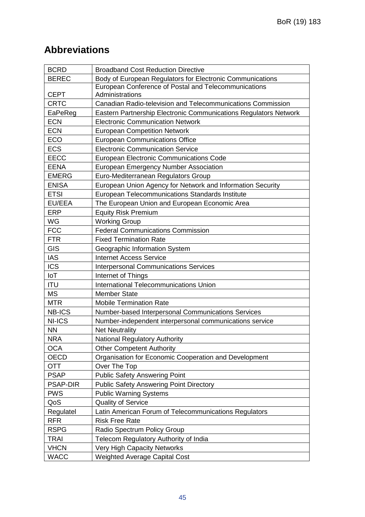## **Abbreviations**

| <b>BCRD</b>     | <b>Broadband Cost Reduction Directive</b>                        |  |
|-----------------|------------------------------------------------------------------|--|
| <b>BEREC</b>    | Body of European Regulators for Electronic Communications        |  |
|                 | European Conference of Postal and Telecommunications             |  |
| <b>CEPT</b>     | Administrations                                                  |  |
| <b>CRTC</b>     | Canadian Radio-television and Telecommunications Commission      |  |
| EaPeReg         | Eastern Partnership Electronic Communications Regulators Network |  |
| <b>ECN</b>      | <b>Electronic Communication Network</b>                          |  |
| <b>ECN</b>      | <b>European Competition Network</b>                              |  |
| <b>ECO</b>      | <b>European Communications Office</b>                            |  |
| <b>ECS</b>      | <b>Electronic Communication Service</b>                          |  |
| <b>EECC</b>     | <b>European Electronic Communications Code</b>                   |  |
| <b>EENA</b>     | <b>European Emergency Number Association</b>                     |  |
| <b>EMERG</b>    | Euro-Mediterranean Regulators Group                              |  |
| <b>ENISA</b>    | European Union Agency for Network and Information Security       |  |
| <b>ETSI</b>     | European Telecommunications Standards Institute                  |  |
| <b>EU/EEA</b>   | The European Union and European Economic Area                    |  |
| <b>ERP</b>      | <b>Equity Risk Premium</b>                                       |  |
| WG              | <b>Working Group</b>                                             |  |
| <b>FCC</b>      | <b>Federal Communications Commission</b>                         |  |
| <b>FTR</b>      | <b>Fixed Termination Rate</b>                                    |  |
| GIS             | Geographic Information System                                    |  |
| <b>IAS</b>      | <b>Internet Access Service</b>                                   |  |
| <b>ICS</b>      | <b>Interpersonal Communications Services</b>                     |  |
| IoT             | Internet of Things                                               |  |
| <b>ITU</b>      | <b>International Telecommunications Union</b>                    |  |
| <b>MS</b>       | <b>Member State</b>                                              |  |
| <b>MTR</b>      | <b>Mobile Termination Rate</b>                                   |  |
| <b>NB-ICS</b>   | Number-based Interpersonal Communications Services               |  |
| <b>NI-ICS</b>   | Number-independent interpersonal communications service          |  |
| <b>NN</b>       | <b>Net Neutrality</b>                                            |  |
| <b>NRA</b>      | <b>National Regulatory Authority</b>                             |  |
| <b>OCA</b>      | <b>Other Competent Authority</b>                                 |  |
| OECD            | Organisation for Economic Cooperation and Development            |  |
| OTT             | Over The Top                                                     |  |
| <b>PSAP</b>     | <b>Public Safety Answering Point</b>                             |  |
| <b>PSAP-DIR</b> | <b>Public Safety Answering Point Directory</b>                   |  |
| <b>PWS</b>      | <b>Public Warning Systems</b>                                    |  |
| QoS             | <b>Quality of Service</b>                                        |  |
| Regulatel       | Latin American Forum of Telecommunications Regulators            |  |
| <b>RFR</b>      | <b>Risk Free Rate</b>                                            |  |
| <b>RSPG</b>     | Radio Spectrum Policy Group                                      |  |
| <b>TRAI</b>     | Telecom Regulatory Authority of India                            |  |
| <b>VHCN</b>     | <b>Very High Capacity Networks</b>                               |  |
| <b>WACC</b>     | <b>Weighted Average Capital Cost</b>                             |  |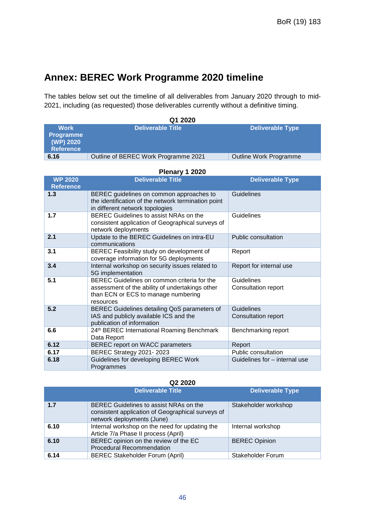## **Annex: BEREC Work Programme 2020 timeline**

The tables below set out the timeline of all deliverables from January 2020 through to mid-2021, including (as requested) those deliverables currently without a definitive timing.

| Q1 2020          |                                      |                         |
|------------------|--------------------------------------|-------------------------|
| <b>Work</b>      | <b>Deliverable Title</b>             | <b>Deliverable Type</b> |
| <b>Programme</b> |                                      |                         |
| (WP) 2020        |                                      |                         |
| <b>Reference</b> |                                      |                         |
| 6.16             | Outline of BEREC Work Programme 2021 | Outline Work Programme  |

#### **Plenary 1 2020**

| <b>WP 2020</b><br><b>Reference</b> | <b>Deliverable Title</b>                                                                                                                           | <b>Deliverable Type</b>                  |
|------------------------------------|----------------------------------------------------------------------------------------------------------------------------------------------------|------------------------------------------|
| 1.3                                | BEREC guidelines on common approaches to<br>the identification of the network termination point<br>in different network topologies                 | Guidelines                               |
| 1.7                                | BEREC Guidelines to assist NRAs on the<br>consistent application of Geographical surveys of<br>network deployments                                 | Guidelines                               |
| 2.1                                | Update to the BEREC Guidelines on intra-EU<br>communications                                                                                       | Public consultation                      |
| 3.1                                | BEREC Feasibility study on development of<br>coverage information for 5G deployments                                                               | Report                                   |
| 3.4                                | Internal workshop on security issues related to<br>5G implementation                                                                               | Report for internal use                  |
| 5.1                                | BEREC Guidelines on common criteria for the<br>assessment of the ability of undertakings other<br>than ECN or ECS to manage numbering<br>resources | Guidelines<br><b>Consultation report</b> |
| 5.2                                | BEREC Guidelines detailing QoS parameters of<br>IAS and publicly available ICS and the<br>publication of information                               | Guidelines<br><b>Consultation report</b> |
| 6.6                                | 24th BEREC International Roaming Benchmark<br>Data Report                                                                                          | Benchmarking report                      |
| 6.12                               | BEREC report on WACC parameters                                                                                                                    | Report                                   |
| 6.17                               | BEREC Strategy 2021-2023                                                                                                                           | Public consultation                      |
| 6.18                               | Guidelines for developing BEREC Work<br>Programmes                                                                                                 | Guidelines for - internal use            |

#### **Q2 2020**

|      | <b>Deliverable Title</b>                                                                                                  | <b>Deliverable Type</b> |
|------|---------------------------------------------------------------------------------------------------------------------------|-------------------------|
| 1.7  | BEREC Guidelines to assist NRAs on the<br>consistent application of Geographical surveys of<br>network deployments (June) | Stakeholder workshop    |
| 6.10 | Internal workshop on the need for updating the<br>Article 7/a Phase II process (April)                                    | Internal workshop       |
| 6.10 | BEREC opinion on the review of the EC<br><b>Procedural Recommendation</b>                                                 | <b>BEREC Opinion</b>    |
| 6.14 | <b>BEREC Stakeholder Forum (April)</b>                                                                                    | Stakeholder Forum       |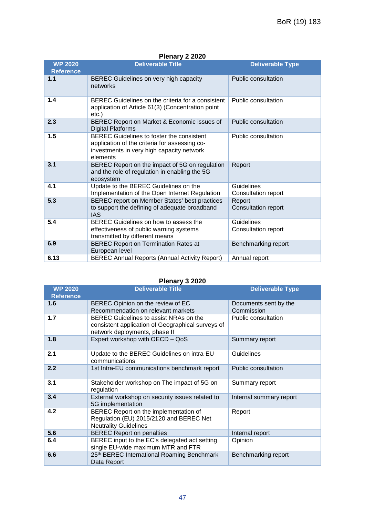#### **Plenary 2 2020**

| <b>WP 2020</b>   | <b>Deliverable Title</b>                                                                                                                                   | <b>Deliverable Type</b>              |
|------------------|------------------------------------------------------------------------------------------------------------------------------------------------------------|--------------------------------------|
| <b>Reference</b> |                                                                                                                                                            |                                      |
| 1.1              | BEREC Guidelines on very high capacity<br>networks                                                                                                         | Public consultation                  |
| 1.4              | BEREC Guidelines on the criteria for a consistent<br>application of Article 61(3) (Concentration point<br>etc.)                                            | Public consultation                  |
| 2.3              | BEREC Report on Market & Economic issues of<br><b>Digital Platforms</b>                                                                                    | Public consultation                  |
| 1.5              | <b>BEREC Guidelines to foster the consistent</b><br>application of the criteria for assessing co-<br>investments in very high capacity network<br>elements | Public consultation                  |
| 3.1              | BEREC Report on the impact of 5G on regulation<br>and the role of regulation in enabling the 5G<br>ecosystem                                               | Report                               |
| 4.1              | Update to the BEREC Guidelines on the<br>Implementation of the Open Internet Regulation                                                                    | Guidelines<br>Consultation report    |
| 5.3              | BEREC report on Member States' best practices<br>to support the defining of adequate broadband<br><b>IAS</b>                                               | Report<br><b>Consultation report</b> |
| 5.4              | BEREC Guidelines on how to assess the<br>effectiveness of public warning systems<br>transmitted by different means                                         | Guidelines<br>Consultation report    |
| 6.9              | <b>BEREC Report on Termination Rates at</b><br>European level                                                                                              | Benchmarking report                  |
| 6.13             | <b>BEREC Annual Reports (Annual Activity Report)</b>                                                                                                       | Annual report                        |

#### **Plenary 3 2020**

| <b>WP 2020</b>   | <b>Deliverable Title</b>                                                                                                     | <b>Deliverable Type</b>             |
|------------------|------------------------------------------------------------------------------------------------------------------------------|-------------------------------------|
| <b>Reference</b> |                                                                                                                              |                                     |
| 1.6              | BEREC Opinion on the review of EC<br>Recommendation on relevant markets                                                      | Documents sent by the<br>Commission |
| 1.7              | BEREC Guidelines to assist NRAs on the<br>consistent application of Geographical surveys of<br>network deployments, phase II | Public consultation                 |
| 1.8              | Expert workshop with OECD - QoS                                                                                              | Summary report                      |
| 2.1              | Update to the BEREC Guidelines on intra-EU<br>communications                                                                 | Guidelines                          |
| 2.2              | 1st Intra-EU communications benchmark report                                                                                 | Public consultation                 |
| 3.1              | Stakeholder workshop on The impact of 5G on<br>regulation                                                                    | Summary report                      |
| 3.4              | External workshop on security issues related to<br>5G implementation                                                         | Internal summary report             |
| 4.2              | BEREC Report on the implementation of<br>Regulation (EU) 2015/2120 and BEREC Net<br><b>Neutrality Guidelines</b>             | Report                              |
| 5.6              | <b>BEREC Report on penalties</b>                                                                                             | Internal report                     |
| 6.4              | BEREC input to the EC's delegated act setting<br>single EU-wide maximum MTR and FTR                                          | Opinion                             |
| 6.6              | 25th BEREC International Roaming Benchmark<br>Data Report                                                                    | Benchmarking report                 |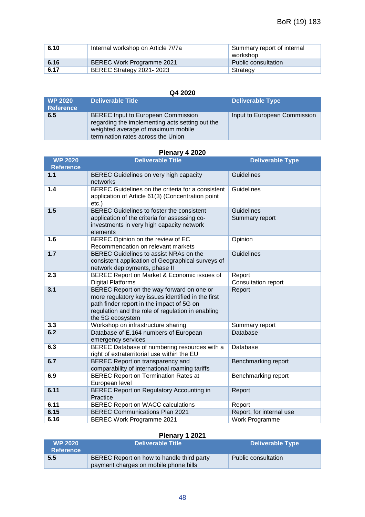| 6.10 | Internal workshop on Article 7//7a | Summary report of internal<br>workshop |
|------|------------------------------------|----------------------------------------|
| 6.16 | <b>BEREC Work Programme 2021</b>   | Public consultation                    |
| 6.17 | BEREC Strategy 2021-2023           | Strategy                               |

#### **Q4 2020**

| <b>WP 2020</b><br><b>Reference</b> | <b>Deliverable Title</b>                                                                                                                                                 | <b>Deliverable Type</b>      |
|------------------------------------|--------------------------------------------------------------------------------------------------------------------------------------------------------------------------|------------------------------|
| 6.5                                | <b>BEREC</b> Input to European Commission<br>regarding the implementing acts setting out the<br>weighted average of maximum mobile<br>termination rates across the Union | Input to European Commission |

#### **Plenary 4 2020**

| <b>WP 2020</b><br><b>Reference</b> | <b>Deliverable Title</b>                                                                                                                                                                                              | <b>Deliverable Type</b>             |
|------------------------------------|-----------------------------------------------------------------------------------------------------------------------------------------------------------------------------------------------------------------------|-------------------------------------|
| $1.1$                              | BEREC Guidelines on very high capacity<br>networks                                                                                                                                                                    | Guidelines                          |
| 1.4                                | BEREC Guidelines on the criteria for a consistent<br>application of Article 61(3) (Concentration point<br>$etc.$ )                                                                                                    | Guidelines                          |
| 1.5                                | BEREC Guidelines to foster the consistent<br>application of the criteria for assessing co-<br>investments in very high capacity network<br>elements                                                                   | <b>Guidelines</b><br>Summary report |
| 1.6                                | BEREC Opinion on the review of EC<br>Recommendation on relevant markets                                                                                                                                               | Opinion                             |
| 1.7                                | BEREC Guidelines to assist NRAs on the<br>consistent application of Geographical surveys of<br>network deployments, phase II                                                                                          | Guidelines                          |
| 2.3                                | BEREC Report on Market & Economic issues of<br><b>Digital Platforms</b>                                                                                                                                               | Report<br>Consultation report       |
| 3.1                                | BEREC Report on the way forward on one or<br>more regulatory key issues identified in the first<br>path finder report in the impact of 5G on<br>regulation and the role of regulation in enabling<br>the 5G ecosystem | Report                              |
| 3.3                                | Workshop on infrastructure sharing                                                                                                                                                                                    | Summary report                      |
| 6.2                                | Database of E.164 numbers of European<br>emergency services                                                                                                                                                           | Database                            |
| 6.3                                | BEREC Database of numbering resources with a<br>right of extraterritorial use within the EU                                                                                                                           | Database                            |
| 6.7                                | BEREC Report on transparency and<br>comparability of international roaming tariffs                                                                                                                                    | Benchmarking report                 |
| 6.9                                | <b>BEREC Report on Termination Rates at</b><br>European level                                                                                                                                                         | Benchmarking report                 |
| 6.11                               | <b>BEREC Report on Regulatory Accounting in</b><br>Practice                                                                                                                                                           | Report                              |
| 6.11                               | <b>BEREC Report on WACC calculations</b>                                                                                                                                                                              | Report                              |
| 6.15                               | <b>BEREC Communications Plan 2021</b>                                                                                                                                                                                 | Report, for internal use            |
| 6.16                               | <b>BEREC Work Programme 2021</b>                                                                                                                                                                                      | Work Programme                      |

## **Plenary 1 2021**

| WP 2020 \<br><b>Reference</b> | <b>Deliverable Title</b>                                                           | Deliverable Type    |
|-------------------------------|------------------------------------------------------------------------------------|---------------------|
| 5.5                           | BEREC Report on how to handle third party<br>payment charges on mobile phone bills | Public consultation |